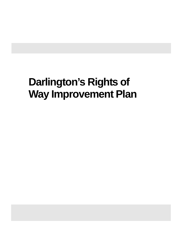# **Darlington's Rights of Way Improvement Plan**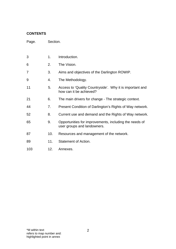# **CONTENTS**

Page. Section.

| 3   | 1.  | Introduction.                                                                         |  |
|-----|-----|---------------------------------------------------------------------------------------|--|
| 6   | 2.  | The Vision.                                                                           |  |
| 7   | 3.  | Aims and objectives of the Darlington ROWIP.                                          |  |
| 9   | 4.  | The Methodology.                                                                      |  |
| 11  | 5.  | Access to 'Quality Countryside'. Why it is important and<br>how can it be achieved?   |  |
| 21  | 6.  | The main drivers for change - The strategic context.                                  |  |
| 44  | 7.  | Present Condition of Darlington's Rights of Way network.                              |  |
| 52  | 8.  | Current use and demand and the Rights of Way network.                                 |  |
| 65  | 9.  | Opportunities for improvements, including the needs of<br>user groups and landowners. |  |
| 87  | 10. | Resources and management of the network.                                              |  |
| 89  | 11. | Statement of Action.                                                                  |  |
| 103 | 12. | Annexes.                                                                              |  |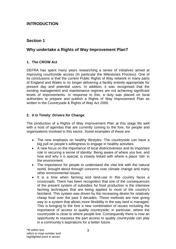# **INTRODUCTION**

# **Section 1**

# **Why undertake a Rights of Way Improvement Plan?**

### **1. The CROW Act**

DEFRA has spent many years researching a series of initiatives aimed at improving countryside access (In particular the Milestones Process). One of its conclusions is that the current Public Rights of Way network in many parts of England and Wales is no longer delivering a facility entirely appropriate for present day and potential users. In addition, it was recognised that the existing management and maintenance regimes are not achieving significant levels of improvements. In response to this, a duty was placed on local authorities to prepare and publish a Rights of Way Improvement Plan as written in the Countryside & Rights of Way Act 2000.

### **2. It Is Timely: Drivers for Change**

The production of a Rights of Way Improvement Plan at this stage fits well with a host of agendas that are currently coming to the fore, for people and organisations involved in this sector. Some examples of these are:

- The new emphasis on healthy lifestyles: The countryside can have a big pull on people's willingness to engage in healthy activities.
- A new focus on the importance of local distinctiveness and its important role in securing a sense of identity: Being aware of where you live, and how and why it is special, is closely linked with where a place 'sits' in the environment.
- The importance for people to understand the vital link with the natural world, brought about through concerns over climate change and many other environmental issues.
- It is a time when farming and land-use in this country faces a crossroads. There has been recognition that one of the consequences of the present system of subsidies for food production is the intensive farming techniques that are being applied to most of the country's farmland. This system was driven by the increasing desire for relatively cheap food over the past 5 decades. These methods are now giving way to a system that allows more flexibility in the way land is managed. This is bringing to the fore a new combination of issues including the importance of access to quality countryside; in particular, where the countryside is close to where people live. Consequently there is now an opportunity to reassess the part access to quality countryside can play in a community's aspirations for a better future.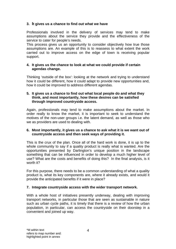### **3. It gives us a chance to find out what we have**

Professionals involved in the delivery of services may tend to make assumptions about the service they provide and the effectiveness of the service to cater for people's needs.

This process gives us an opportunity to consider objectively how true those assumptions are. An example of this is to reassess to what extent the work carried out to improve access on the edge of town is receiving popular support.

### **4. It gives us the chance to look at what we could provide if certain agendas change.**

Thinking 'outside of the box': looking at the network and trying to understand how it could be different, how it could adapt to provide new opportunities and, how it could be improved to address different agendas.

### **5. It gives us a chance to find out what local people do and what they think, and most importantly, how these desires can be satisfied through improved countryside access.**

Again, professionals may tend to make assumptions about the market. In order really to know the market, it is important to seek to understand the motives of the non-user groups i.e. the latent demand, as well as those who we as providers are used to dealing with.

### **6. Most importantly, it gives us a chance to ask what it is we want out of countryside access and then seek ways of providing it.**

This is the crux of the plan. Once all of the hard work is done, it is up to the whole community to say if a quality product is really what is wanted. Are the opportunities presented by Darlington's unique position in the landscape something that can be influenced in order to develop a much higher level of use? What are the costs and benefits of doing this? In the final analysis, is it worth it?

For this purpose, there needs to be a common understanding of what a quality product is, what its key components are, where it already exists, and would it provide the anticipated benefits if it were in place?

### **7. Integrate countryside access with the wider transport network.**

With a whole host of initiatives presently underway, dealing with improving transport networks, in particular those that are seen as sustainable in nature such as urban cycle paths, it is timely that there is a review of how the urban population, in particular, can access the countryside on their doorstep in a convenient and joined up way.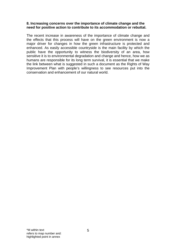### **8. Increasing concerns over the importance of climate change and the need for positive action to contribute to its accommodation or rebuttal.**

The recent increase in awareness of the importance of climate change and the effects that this process will have on the green environment is now a major driver for changes in how the green infrastructure is protected and enhanced. As easily accessible countryside is the main facility by which the public have the opportunity to witness the biodiversity of an area, how sensitive it is to environmental degradation and change and hence, how we as humans are responsible for its long term survival, it is essential that we make the link between what is suggested in such a document as the Rights of Way Improvement Plan with people's willingness to see resources put into the conservation and enhancement of our natural world.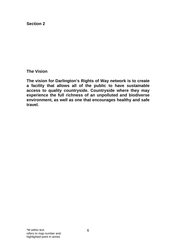**The Vision** 

**The vision for Darlington's Rights of Way network is to create a facility that allows all of the public to have sustainable access to quality countryside. Countryside where they may experience the full richness of an unpolluted and biodiverse environment, as well as one that encourages healthy and safe travel.**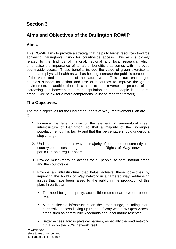# **Aims and Objectives of the Darlington ROWIP**

# **Aims.**

This ROWIP aims to provide a strategy that helps to target resources towards achieving Darlington's vision for countryside access. This aim is closely related to the findings of national, regional and local research, which emphasise the importance of a raft of benefits that comes with improved countryside access. These benefits include the value of green exercise to mental and physical health as well as helping increase the public's perception of the value and importance of the natural world. This in turn encourages people's support for action and use of resources to improve the green environment. In addition there is a need to help reverse the process of an increasing gulf between the urban population and the people in the rural areas. (See below for a more comprehensive list of important factors)

# **The Objectives.**

The main objectives for the Darlington Rights of Way Improvement Plan are to:

- 1. Increase the level of use of the element of semi-natural green infrastructure of Darlington, so that a majority of the Borough's population enjoy this facility and that this percentage should undergo a step change.
- 2. Understand the reasons why the majority of people do not currently use countryside access in general, and the Rights of Way network in particular, on a regular basis.
- 3. Provide much-improved access for all people, to semi natural areas and the countryside.
- 4. Provide an infrastructure that helps achieve these objectives by improving the Rights of Way network in a targeted way, addressing issues that have been raised by the public in the production of this plan. In particular:
	- The need for good quality, accessible routes near to where people live.
	- A more flexible infrastructure on the urban fringe, including more permissive access linking up Rights of Way with new Open Access areas such as community woodlands and local nature reserves.
	- Better access across physical barriers, especially the road network, but also on the ROW network itself.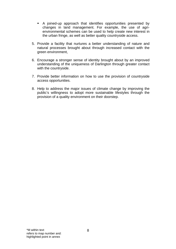- A joined-up approach that identifies opportunities presented by changes in land management. For example, the use of agrienvironmental schemes can be used to help create new interest in the urban fringe, as well as better quality countryside access.
- 5. Provide a facility that nurtures a better understanding of nature and natural processes brought about through increased contact with the green environment,
- 6. Encourage a stronger sense of identity brought about by an improved understanding of the uniqueness of Darlington through greater contact with the countryside.
- 7. Provide better information on how to use the provision of countryside access opportunities.
- 8. Help to address the major issues of climate change by improving the public's willingness to adopt more sustainable lifestyles through the provision of a quality environment on their doorstep.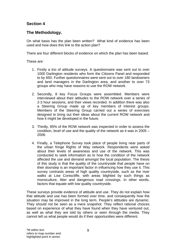# **The Methodology.**

On what basis has the plan been written? What kind of evidence has been used and how does this link to the action plan?

There are four different blocks of evidence on which the plan has been based.

These are:

- 1. Firstly a trio of attitude surveys. A questionnaire was sent out to over 1000 Darlington residents who form the Citizens Panel and responded to by 650. Further questionnaires were sent out to over 180 landowners and land managers in the Darlington area, and another to over 73 groups who may have reasons to use the ROW network.
- 2. Secondly, 8 key Focus Groups were assembled. Members were interviewed about their attitudes to the ROW network over a series of 2-3 hour sessions, and their views recorded. In addition there was also a Steering Group made up of key members of interest groups. Members of the Steering Group carried out a series of exercises designed to bring out their ideas about the current ROW network and how it might be developed in the future.
- 3. Thirdly, 85% of the ROW network was inspected in order to assess the condition, level of use and the quality of the network as it was in 2005 – 2006.
- 4. Finally, a Telephone Survey took place of people living near parts of the urban fringe Rights of Way network. Respondents were asked about their levels of awareness and use of the network. This was conducted to seek information as to how the condition of the network affected the use and demand amongst the local population. The thesis of this study is that the quality of the countryside that people have on their doorstep is an important factor in influencing how they use it. This survey contrasts areas of high quality countryside, such as the river walks at Low Coniscliffe, with areas blighted by such things as monoculture, litter and dangerous road crossings. In other words, factors that equate with low quality countryside.

These surveys provide evidence of attitude and use. They do not explain how that attitude and use has been formed over time, and consequently how the situation may be improved in the long term. People's attitudes are dynamic. They should not be seen as a mere snapshot. They reflect rational choices based on experience of what they have found when they have ventured out, as well as what they are told by others or seen through the media. They cannot tell us what people would do if their opportunities were different.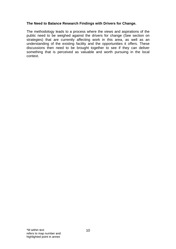### **The Need to Balance Research Findings with Drivers for Change.**

The methodology leads to a process where the views and aspirations of the public need to be weighed against the drivers for change (See section on strategies) that are currently affecting work in this area, as well as an understanding of the existing facility and the opportunities it offers. These discussions then need to be brought together to see if they can deliver something that is perceived as valuable and worth pursuing in the local context.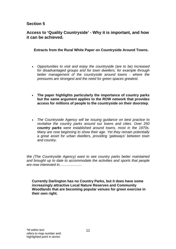# **Access to 'Quality Countryside' - Why it is important, and how it can be achieved.**

 **Extracts from the Rural White Paper on Countryside Around Towns.** 

- *Opportunities to visit and enjoy the countryside (are to be) increased for disadvantaged groups and for town dwellers, for example through better management of the countryside around towns - where the pressures are strongest and the need for green spaces greatest.*
- **The paper highlights particularly the importance of country parks but the same argument applies to the ROW network that provides access for millions of people to the countryside on their doorstep.**
- *The Countryside Agency will be issuing guidance on best practice to revitalise the country parks around our towns and cities. Over 250 country parks were established around towns, most in the 1970s. Many are now beginning to show their age. Yet they remain potentially a great asset for urban dwellers, providing 'gateways' between town and country.*

*We (The Countryside Agency) want to see country parks better maintained and brought up to date to accommodate the activities and sports that people are now interested in……………….* 

**Currently Darlington has no Country Parks, but it does have some increasingly attractive Local Nature Reserves and Community Woodlands that are becoming popular venues for green exercise in their own right.**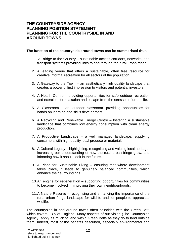# **THE COUNTRYSIDE AGENCY PLANNING POSITION STATEMENT PLANNING FOR THE COUNTRYSIDE IN AND AROUND TOWNS**

### **The function of the countryside around towns can be summarised thus**:

- 1. A Bridge to the Country sustainable access corridors, networks, and transport systems providing links to and through the rural urban fringe.
- 2. A leading venue that offers a sustainable, often free resource for creative informal recreation for all sectors of the population.
- 3. A Gateway to the Town an aesthetically high quality landscape that creates a powerful first impression to visitors and potential investors.
- 4. A Health Centre providing opportunities for safe outdoor recreation and exercise, for relaxation and escape from the stresses of urban life.
- 5. A Classroom an 'outdoor classroom' providing opportunities for hands on learning and skills development.
- 6. A Recycling and Renewable Energy Centre fostering a sustainable landscape that combines low energy consumption with clean energy production.
- 7. A Productive Landscape a well managed landscape, supplying consumers with high quality local produce or materials.
- 8. A Cultural Legacy highlighting, recognising and valuing local heritage; increasing our understanding of how the rural urban fringe grew, and informing how it should look in the future.
- 9. A Place for Sustainable Living ensuring that where development takes place, it leads to genuinely balanced communities, which enhance their surroundings.
- 10. An engine for regeneration supporting opportunities for communities to become involved in improving their own neighbourhoods.
- 11. A Nature Reserve recognising and enhancing the importance of the rural urban fringe landscape for wildlife and for people to appreciate wildlife.

The countryside in and around towns often coincides with the Green Belt, which covers 13% of England. Many aspects of our vision (The Countryside Agency) apply as much to land within Green Belts as they do to land outside them. Indeed, most of the benefits described, especially environmental and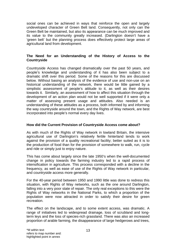social ones can be achieved in ways that reinforce the open and largely undeveloped character of Green Belt land. Consequently, not only can the Green Belt be maintained, but also its appearance can be much improved and its value to the community greatly increased. (Darlington doesn't have a 'green belt' but the planning process does effectively protect large areas of agricultural land from development.

### **The Need for an Understanding of the History of Access to the Countryside**

Countryside Access has changed dramatically over the past 50 years, and people's knowledge and understanding of it has also been subject to a dramatic shift over this period. Some of the reasons for this are discussed below. Without basing an analysis of the evidence of use and non-use on an historical understanding of the network, there would be little gained by a simplistic assessment of people's attitude to it, as well as their desires towards it. Similarly, an assessment of how to affect this situation through the development of an action plan would not be well supported if it were only a matter of assessing present usage and attitudes. Also needed is an understanding of these attitudes as a process, both informed by and informing the way countryside around the town, and the Rights of Way network, are best incorporated into people's normal every day lives.

### **How did the Current Provision of Countryside Access come about?**

As with much of the Rights of Way network in lowland Britain, the intensive agricultural use of Darlington's relatively fertile hinterland tends to work against the provision of a quality recreational facility; better suited as it is to the production of food than for the provision of somewhere to walk, run, cycle and ride or simply just to enjoy nature.

This has come about largely since the late 1950's when the well-documented change in policy towards the farming industry led to a rapid process of intensification in agriculture. This process corresponded with a decline in the frequency, as well as ease of use of the Rights of Way network in particular, and countryside access more generally.

For the 40-year period between 1950 and 1990 little was done to redress this situation, with Rights of Way networks, such as the one around Darlington, falling into a very poor state of repair. The only real exceptions to this were the Rights of Way networks in the National Parks, to which a proportion of the population were now attracted in order to satisfy their desire for green recreation.

The effect on the landscape, and to some extent access, was dramatic. A range of initiatives led to widespread drainage, loss of scrubland and longterm leys and the loss of species-rich grassland. There was also an increased proportion of arable farming, the disappearance of large hedgerows and trees,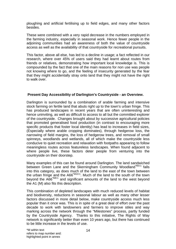ploughing and artificial fertilising up to field edges, and many other factors besides.

These were combined with a very rapid decrease in the numbers employed in the farming industry, especially in seasonal work. Hence fewer people in the adjoining communities had an awareness of both the value of countryside access as well as the availability of that countryside for recreational pursuits.

This factor, above all else, has led to a decline in usage; a fact reflected in our research, where over 45% of users said they had learnt about routes from friends or relatives, demonstrating how important local knowledge is. This is compounded by the fact that one of the main reasons for non use was people not knowing where to go, and the feeling of insecurity generated by the fear that they might accidentally stray onto land that they might not have the right to walk over.

### **Present Day Accessibility of Darlington's Countryside - an Overview.**

Darlington is surrounded by a combination of arable farming and intensive stock farming on fertile land that abuts right up to the town's urban fringe. This has produced landscapes in recent years that are often uninteresting and hence uninviting, as well as difficult to access to all but the committed explorer of the countryside. Changes brought about by successive agricultural policies that promoted generalised food production (in contrast to encouraging more specific products that foster local identity) has lead to increases in field sizes, (Especially where arable cropping dominates), through hedgerow loss, the narrowing of field margins, the loss of hedgerow trees, and removal of small spinneys, woodlands and wetlands, all of which make the countryside less conducive to quiet recreation and relaxation with footpaths appearing to follow meaningless routes across featureless landscapes. When found adjacent to where people live, these factors deter people from venturing into the countryside on their doorstep.

Many examples of this can be found around Darlington. The land sandwiched between Green Lane and the Skerningham Community Woodland<sup>\*M3:1</sup> falls into this category, as does much of the land to the east of the town between the urban fringe and the A66<sup>\*M10:1</sup>. Much of the land to the south of the town beyond the A66\*M9:1 and significant amounts of the land to the west beyond the A1 (M) also fits this description.

This combination of depleted landscapes with much reduced levels of habitat and biodiversity, reductions in seasonal labour as well as many other lesser factors discussed in more detail below, make countryside access much less popular than it once was. This is in spite of a great deal of effort over the past decade to work with landowners and farmers to improve stiles and way marking across the network through the "Milestones" process, partly funded by the Countryside Agency. Thanks to this initiative, The Rights of Way network is significantly better than even 10 years ago, but there has continued to be little increase in the levels of use.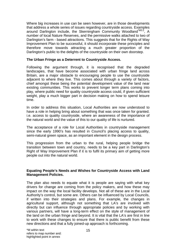Where big increases in use can be seen however, are in those developments that address a whole series of issues regarding countryside access. Examples around Darlington include, the Skerningham Community Woodland\*M3:2, A number of local Nature Reserves, and the permissive walks attached to two of Darlington's farm - based attractions. This suggests that for the Rights of Way Improvement Plan to be successful, it should incorporate these principles and therefore move towards attracting a much greater proportion of the Darlington's public to the delights of the countryside on their own doorstep.

### **The Urban Fringe as a Deterrent to Countryside Access.**

Following the argument through, it is recognised that the degraded landscapes, that have become associated with urban fringe land across Britain, are a major obstacle to encouraging people to use the countryside adjacent to where they live. This comes about through a variety of factors, chief amongst these being the potential development value of the land near existing communities. This works to prevent longer term plans coming into play, where public need for quality countryside access could, if given sufficient weight, play a much bigger part in decision making on how to spend leisure time.

In order to address this situation, Local Authorities are now understood to have a role in helping bring about something that was once taken for granted. i.e. access to quality countryside, where an awareness of the importance of the natural world and the value of this to our quality of life is nurtured.

The acceptance of a role for Local Authorities in countryside management since the early 1990's has resulted in Council's placing access to quality, semi-natural green space, as an important element in the design process.

This progression from the urban to the rural, helping people bridge the transition between town and country, needs to be a key part in Darlington's Right of Way Improvement Plan if it is to fulfil its primary aim of getting more people out into the natural world.

### **Equating People's Needs and Wishes for Countryside Access with Land Management Policies.**

The plan also needs to equate what it is people are saying with what key drivers for change are coming from the policy makers, and how these may impact on the way the local facility develops. Not all of these are in the Local Authority's control, but some are. Others can be influenced by Local Councils, if written into their strategies and plans. For example, the changes in agricultural support, although not something that LA's are involved with directly but can influence through appropriate policies and by working with various partners, will have a long-term effect on the style of management of the land on the urban fringe and beyond. It is vital that the LA's are first in line to work with these changes to ensure that there is public benefit from these new directions and that a fully joined-up approach is forthcoming.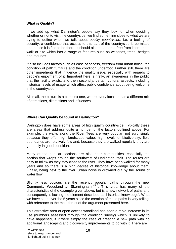### **What is Quality?**

If we add up what Darlington's people say they look for when deciding whether or not to visit the countryside, we find something close to what we are trying to define when we talk about *quality countryside*, i.e: a feeling of security, a confidence that access to this part of the countryside is permitted and hence it is fine to be there. It should also be an area free from litter, and a walk or site which has a range of features such as wetlands, trees, hedges and mounds.

It also includes factors such as ease of access, freedom from urban noise, the condition of path furniture and the condition underfoot. Further still, there are other ingredients that influence the quality issue, especially with regards to people's enjoyment of it. Important here is firstly, an awareness in the public that the facility exists, and then secondly, certain cultural aspects, including historical levels of usage which affect public confidence about being welcome in the countryside.

All in all, the picture is a complex one, where every location has a different mix of attractions, distractions and influences.

### **Where Can Quality be found in Darlington?**

Darlington does have some areas of high quality countryside. Typically these are areas that address quite a number of the factors outlined above. For example, the walks along the River Tees are very popular, not surprisingly because they offer high landscape value, high levels of biodiversity, field boundaries are relatively few and, because they are walked regularly they are generally in good condition.

Many of the popular sections are also near communities; especially the section that wraps around the southwest of Darlington itself. The routes are easy to follow as they stay close to the river. They have been walked for many years and so there is a high degree of historical knowledge about them. Finally, being next to the river, urban noise is drowned out by the sound of water flow.

Slightly less obvious are the recently popular paths through the new Community Woodland at Skerningham<sup>\*M3:2</sup>. This area has many of the characteristics of the example given above, but is a new network of paths and consequently is lacking the element described as 'historical knowledge'. What we have seen over the 5 years since the creation of these paths is very telling, with reference to the main thrust of the argument presented here.

This attractive area of open access woodland has seen a rapid increase in its use (numbers assessed through the condition survey) which is unlikely to have happened, if it were simply the case of creating a new path with no additional landscaping and biodiversity improvements to go with it. There are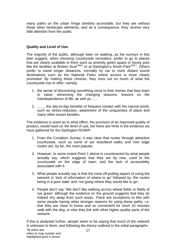many paths on the urban fringe similarly accessible, but they are without these other landscape elements, and as a consequence, they receive very little attention from the public.

### **Quality and Level of Use.**

The majority of the public, although keen on walking, as the surveys in this plan suggest, when choosing countryside recreation, prefer to go to places that are clearly available to them such as amenity green space or honey pots like the facilities at Broken Scar\*M8:2 or at Darlington's South Park\*M6:1. Others prefer to travel longer distances, normally by car to more distant tourist destinations such as the National Parks where access is more clearly promoted. By making these choices, they miss out on much of what the countryside has to offer; namely:

- 1. the sense of discovering something close to their homes that they learn to value; witnessing the changing seasons, lessons on the interdependence of life, as well as……
- 2. ……..the day-to-day benefits of frequent contact with the natural world, such as stress-reduction, awareness of the uniqueness of place and many other issues besides.

The evidence is scant as to what effect, the provision of an improved quality of product, would have on the level of use, but there are hints in the evidence we have gathered for the Darlington ROWIP.

- 1. From the Condition Survey, it was clear that routes through attractive countryside, such as some of our woodland walks and river edge routes are, by far, the most popular.
- 2. However, to some extent Point 1 above is counteracted by what people actually say, which suggests that they are by now, used to the countryside on the edge of town, and the lack of accessibility associated with it.
- 3. What people actually say is that the most off-putting aspect of using the network is 'lack of information of where to go' followed by 'the routes being in a poor state' and 'not going where they would like to go'.
- 4. People don't say "We don't like walking across wheat fields or fields of rye grass" although the evidence on the ground suggests that they do indeed shy away from such areas. There are exceptions to this with some people having other stronger reasons for using these paths, i.e. that they are close to home and so convenient for short 10 minutes walk with the dog, or else they link with other higher quality parts of the network.

If this is analysed further, people seem to be saying that much of the network is unknown to them, and following the theory outlined in the initial paragraphs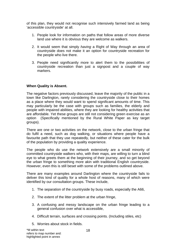of this plan, they would not recognise such intensively farmed land as being 'accessible countryside' at all.

- 1. People look for information on paths that follow areas of more diverse land use where it is obvious they are welcome as walkers.
- 2. It would seem that simply *having* a Right of Way through an area of countryside does not make it an option for countryside recreation for the people who live there.
- 3. People need significantly more to alert them to the possibilities of countryside recreation than just a signpost and a couple of way markers.

### **When Quality is Absent.**

The negative factors previously discussed, leave the majority of the public in a town like Darlington, rarely considering the countryside close to their homes as a place where they would want to spend significant amounts of time. This may particularly be the case with groups such as families, the elderly and people with impaired abilities, where they are looking for healthy activities that are affordable. Yet these groups are still not considering green exercise as an option (Specifically mentioned by the Rural White Paper as key target groups).

There are one or two activities on the network, close to the urban fringe that do fulfil a need, such as dog walking, or situations where people have a favourite path that they use repeatedly, but neither of these cater for the bulk of the population by providing a quality experience.

The people who do use the network extensively are a small minority of committed countryside walkers who, with their maps, are willing to turn a blind eye to what greets them at the beginning of their journey, and so get beyond the urban fringe to something more akin with traditional English countryside. However, even this is still beset with some of the problems outlined above.

There are many examples around Darlington where the countryside fails to deliver this kind of quality for a whole host of reasons, many of which were identified by our consultation groups. These include,

- 1. The separation of the countryside by busy roads, especially the A66,
- 2. The extent of the litter problem at the urban fringe,
- 3. A confusing and messy landscape on the urban fringe leading to a general confusion over what is accessible,
- 4. Difficult terrain, surfaces and crossing points. (Including stiles, etc)
- 5. Worries about stock in fields.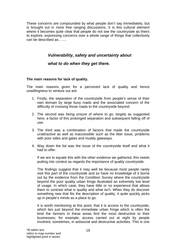These concerns are compounded by what people don't say immediately, but is brought out in more free ranging discussions. It is this cultural element where it becomes quite clear that people do not see the countryside as theirs to explore, expressing concerns over a whole range of things that collectively can be described as…….

# *Vulnerability, safety and uncertainty about*

# *what to do when they get there.*

### **The main reasons for lack of quality.**

The main reasons given for a perceived lack of quality and hence unwillingness to venture out are:

- 1. Firstly, the separation of the countryside from people's sense of their own domain by large busy roads and the associated concern of the difficulty of crossing those roads to the countryside beyond.
- 2. The second was being unsure of where to go, largely as suggested here, a factor of this prolonged separation and subsequent falling off of use.
- 3. The third was a combination of factors that made the countryside unattractive as well as inaccessible such as the litter issue, problems with poor stiles and gates and muddy gateways.
- 4. Way down the list was the issue of the countryside itself and what it had to offer.

If we are to equate this with the other evidence we gathered, this needs putting into context as regards the importance of quality countryside.

The findings suggest that it may well be because most people rarely visit this part of the countryside and so have no knowledge of it borne out by the evidence from the Condition Survey where the countryside beyond the poor quality urban fringe illustrated an extremely low level of usage. In which case, they have little or no experience that allows them to contrast what is quality and what isn't. When they do discover something new that fits the description of quality, it quite quickly picks up in people's minds as a place to go.

It is worth mentioning at this point, that it is access to the countryside, which lies just beyond the immediate urban fringe which is often the kind the farmers in these areas find the most destructive to their businesses; for example, access carried out at night by people involved, sometimes, in antisocial and destructive activities. This is one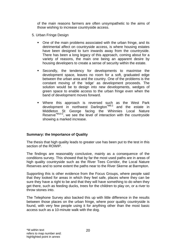of the main reasons farmers are often unsympathetic to the aims of those wishing to increase countryside access.

- 5. Urban Fringe Design
	- One of the main problems associated with the urban fringe, and its detrimental affect on countryside access, is where housing estates have been designed to turn inwards away from the countryside. There has been a long legacy of this approach, coming about for a variety of reasons, the main one being an apparent desire by housing developers to create a sense of security within the estate.
	- Secondly, the tendency for developments to maximise the development space, leaves no room for a soft, graduated edge between the urban area and the country. One of the problems is the constant moving of the 'edge' as development proceeds. The solution would be to design into new developments, wedges of green space to enable access to the urban fringe even when the band of development moves forward.
	- Where this approach is reversed such as the West Park development in northwest Darlington\*M6:2 and the estate in Middleton St George facing the Whinnies Local Nature Reserve<sup>\*M10:2</sup>, we see the level of interaction with the countryside showing a marked increase.

### **Summary: the Importance of Quality**

The thesis that high quality leads to greater use has been put to the test in this section of the ROWIP.

The findings are reasonably conclusive, mainly as a consequence of the conditions survey. This showed that by far the most used paths are in areas of high quality countryside such as the River Tees Corridor, the Local Nature Reserves and to some extent the paths near to the River Skerne at Barmpton.

Supporting this is other evidence from the Focus Groups, where people said that they looked for areas in which they feel safe, places where they can be sure they have a right to be and that they will have something to do when they get there, such as feeding ducks, trees for the children to play on, or a river to throw stones into.

The Telephone Survey also backed this up with little difference in the results between those places on the urban fringe, where poor quality countryside is found, with very few people using it for anything other than the most basic access such as a 10-minute walk with the dog.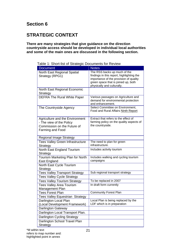# **STRATEGIC CONTEXT**

#### **There are many strategies that give guidance on the direction countryside access should be developed in individual local authorities and some of the main ones are discussed in the following section.**

Table 1: Short-list of Strategic Documents for Review

| <b>Document</b>                          | <b>Notes</b>                                                            |
|------------------------------------------|-------------------------------------------------------------------------|
| North East Regional Spatial              | The RSS backs up much of the                                            |
| Strategy (RPG1)                          | findings in this report, highlighting the                               |
|                                          | importance of the provision of quality                                  |
|                                          | green space that is joined up, both<br>physically and culturally.       |
| North East Regional Economic             |                                                                         |
| Strategy                                 |                                                                         |
| <b>DEFRA The Rural White Paper</b>       | Various passages on Agriculture and                                     |
|                                          | demand for environmental protection                                     |
|                                          | and enhancement.                                                        |
| The Countryside Agency                   | Select Committee on Environment,<br>Food and Rural Affairs Ninth Report |
|                                          |                                                                         |
| Agriculture and the Environment          | Extract that refers to the effect of                                    |
| - The view of the Policy                 | farming policy on the quality aspects of                                |
| Commission on the Future of              | the countryside.                                                        |
| Farming and Food                         |                                                                         |
|                                          |                                                                         |
| <b>Regional Image Strategy</b>           |                                                                         |
| <b>Tees Valley Green Infrastructure</b>  | The need to plan for green                                              |
| Strategy                                 | infrastructure.                                                         |
| North East England Tourism               | Includes activity tourism                                               |
| Strategy                                 |                                                                         |
| Tourism Marketing Plan for North         | Includes walking and cycling tourism<br>campaigns                       |
| East England<br>North East Cycle Tourism |                                                                         |
| Strategy                                 |                                                                         |
| <b>Tees Valley Transport Strategy</b>    | Sub regional transport strategy                                         |
| <b>Tees Valley Cycle Strategy</b>        |                                                                         |
| <b>Tees Valley Tourism Strategy</b>      | To be replaced in 2007                                                  |
| <b>Tees Valley Area Tourism</b>          | In draft form currently                                                 |
| Management Plan                          |                                                                         |
| <b>Tees Forest Plan</b>                  | <b>Community Forest Plan</b>                                            |
| <b>Tees Valley Equestrian Strategy</b>   |                                                                         |
| Darlington Local Plan                    | Local Plan is being replaced by the                                     |
| (Local Development Framework)            | LDF which is in preparation                                             |
| <b>Darlington Gateway</b>                |                                                                         |
| Darlington Local Transport Plan.         |                                                                         |
| <b>Darlington Cycling Strategy</b>       |                                                                         |
| Darlington School Travel Plan            |                                                                         |
| Strategy                                 |                                                                         |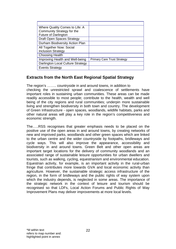| Where Quality Comes to Life: A    |                                    |
|-----------------------------------|------------------------------------|
| Community Strategy for the        |                                    |
| <b>Future of Darlington</b>       |                                    |
| Draft Open Spaces Strategy        |                                    |
| Durham Biodiversity Action Plan   |                                    |
| All Together Now: Social          |                                    |
| <b>Inclusion Strategy</b>         |                                    |
| <b>Choosing Health</b>            |                                    |
| Improving Health and Well-being   | <b>Primary Care Trust Strategy</b> |
| Darlington Local Culture Strategy |                                    |
| <b>Events Strategy</b>            |                                    |

# **Extracts from the North East Regional Spatial Strategy**

The region's …….. countryside in and around towns, in addition to checking the unrestricted sprawl and coalescence of settlements have important roles in sustaining urban communities. These areas can be made readily accessible to most people; contribute to the health, wealth and well being of the city regions and rural communities; underpin more sustainable living and strengthen biodiversity in both town and country. The development of Green Infrastructure - open spaces, woodlands, wildlife habitats, parks and other natural areas will play a key role in the region's competitiveness and economic strength.

The…..RSS recognises that greater emphasis needs to be placed on the positive use of the open areas in and around towns, by creating networks of new and improved parks, woodlands and other green spaces which are linked to the urban centre and the wider countryside by footpaths, bridleways and cycle ways. This will also improve the appearance, accessibility and biodiversity in and around towns. Green Belt and other open areas are important target locations for the delivery of community woodlands and an associated range of sustainable leisure opportunities for urban dwellers and tourists, such as walking, cycling, equestrianism and environmental education. Equestrian activity, for example, is an important activity in the rural-urban fringe that contributes more towards GVA and local economic activity than agriculture. However, the sustainable strategic access infrastructure of the region, in the form of bridleways and the public rights of way system upon which the industry depends, is neglected in some areas. The importance of the strategic network in the context of leisure and tourism should be recognised so that LDFs, Local Action Forums and Public Rights of Way Improvement Plans may deliver improvements at more local levels.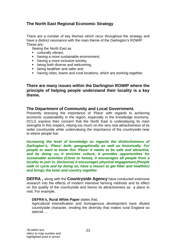# **The North East Regional Economic Strategy**

There are a number of key themes which recur throughout the strategy and have a distinct resonance with the main theme of the Darlington's ROWIP. These are:

Seeing the North East as

- **culturally vibrant,**
- having a more sustainable environment,
- having a more inclusive society,
- **•** being both diverse and welcoming,
- **•** being healthier and safer and
- having cities, towns and rural locations, which are working together.

# **There are many issues within the Darlington ROWIP where the principle of helping people understand their locality is a key theme.**

### **The Department of Community and Local Government.**

Presently stressing the importance of 'Place' with regards to achieving economic sustainability in the region, especially in the knowledge economy. DCLG express their concern that the North East is underplaying its main strengths in this respect, relying too much on the very real attractiveness of its wider countryside while undervaluing the importance of the countryside near to where people live.

*Increasing the level of knowledge as regards the distinctiveness of Darlington's, 'Place' both, geographically as well as historically. For people to want to know this 'Place' it needs to be safe and attractive, and by doing so, it enriches culture, it provides opportunities for sustainable activities (Close to home), it encourages all people from a locality to join in, (Inclusive) it encourages physical engagement,(People walk or cycle and by doing so, have a reason to get fitter and healthier) and brings the town and country together.* 

**DEFRA ,** along with the **Countryside Agency** have conducted extensive research into the effects of modern intensive farming methods and its effect on the quality of the countryside and hence its attractiveness as a place to visit. For example,

### **DEFRA's, Rural White Paper** states that,

Agricultural intensification and homogenous development have diluted countryside character, eroding the diversity that makes rural England so special. ...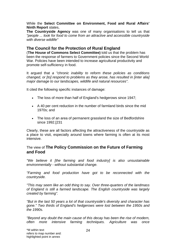While the **Select Committee on Environment, Food and Rural Affairs' Ninth Report** states,

**The Countryside Agency** was one of many organisations to tell us that *"people ... look for food to come from an attractive and accessible countryside with diverse wildlife"* 

# **The Council for the Protection of Rural England**

(**The House of Commons Select Committee)** told us that the problem has been the response of farmers to Government policies since the Second World War. Policies have been intended to increase agricultural productivity and promote self-sufficiency in food.

It argued that *a "chronic inability to reform these policies as conditions changed, or [to] respond to problems as they arose, has resulted in [inter alia] major damage to our landscapes, wildlife and natural resources"*.

It cited the following specific instances of damage:

- The loss of more than half of England's hedgerows since 1947;
- A 40 per cent reduction in the number of farmland birds since the mid 1970s; and
- The loss of an area of permanent grassland the size of Bedfordshire since 1992.[231

Clearly, these are all factors affecting the attractiveness of the countryside as a place to visit, especially around towns where farming is often at its most intensive.

## The view of **The Policy Commission on the Future of Farming and Food**

*"We believe it [the farming and food industry] is also unsustainable environmentally - without substantial change.* 

*"Farming and food production have got to be reconnected with the countryside.* 

*"This may seem like an odd thing to say. Over three-quarters of the landmass of England is still a farmed landscape. The English countryside was largely created by farming".* 

*"But in the last 50 years a lot of that countryside's diversity and character has gone." Two thirds of England's hedgerows were lost between the 1950s and the 1990s.* 

*"Beyond any doubt the main cause of this decay has been the rise of modern, often more intensive farming techniques. Agriculture was once*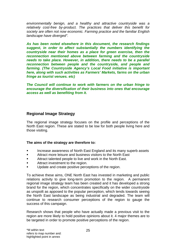*environmentally benign, and a healthy and attractive countryside was a relatively cost-free by-product. The practices that deliver this benefit for society are often not now economic. Farming practice and the familiar English landscape have diverged".* 

*As has been noted elsewhere in this document, the research findings suggest, in order to affect substantially the numbers identifying the countryside near their homes as a place for green exercise, then the reconnection mentioned above between farming and the countryside needs to take place. However, in addition, there needs to be a parallel reconnection between people and the countryside, and people and farming. (The Countryside Agency's Local Food initiative is important here, along with such activities as Farmers' Markets, farms on the urban fringe as tourist venues. etc)* 

*The Council will continue to work with farmers on the urban fringe to encourage the diversification of their business into ones that encourage access as well as benefiting from it.*

# **Regional Image Strategy**

The regional image strategy focuses on the profile and perceptions of the North East region. These are stated to be low for both people living here and those visiting.

### **The aims of the strategy are therefore to:**

- **Increase awareness of North East England and its many superb assets**
- **EXECUTE:** Attract more leisure and business visitors to the North East
- **EXECUTE:** Attract talented people to live and work in the North East.
- Attract investment to the region.
- Update and create positive perceptions of the region.

To achieve these aims, ONE North East has invested in marketing and public relations activity to give long-term promotion to the region. A permanent regional image strategy team has been created and it has developed a strong brand for the region, which concentrates specifically on the wider countryside as unspoilt as apposed to the popular perception, which tends towards seeing the North East landscape as being industrial and degraded. The team will continue to research consumer perceptions of the region to gauge the success of this campaign.

Research shows that people who have actually made a previous visit to the region are more likely to hold positive opinions about it. 4 major themes are to be targeted in order to promote positive perceptions of the region.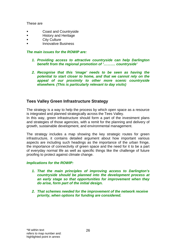These are

- **Example 2** Coast and Countryside
- **History and Heritage**
- **City Culture**
- Innovative Business

### *The main issues for the ROWIP are:*

- *1. Providing access to attractive countryside can help Darlington benefit from the regional promotion of '………. countryside'*
- *2. Recognise that this 'image' needs to be seen as having the potential to start closer to home, and that we cannot rely on the appeal of our proximity to other more scenic countryside elsewhere. (This is particularly relevant to day visits)*

# **Tees Valley Green Infrastructure Strategy**

The strategy is a way to help the process by which open space as a resource is integrated and planned strategically across the Tees Valley. In this way, green infrastructure should form a part of the investment plans and strategies of those agencies, with a remit for the planning and delivery of growth, sustainable development, and environmental management.

The strategy includes a map showing the key strategic routes for green infrastructure, it contains detailed argument about how important various aspects are including such headings as the importance of the urban fringe, the importance of connectivity of green space and the need for it to be a part of everyday normal life as well as specific things like the challenge of future proofing to protect against climate change.

### *Implications for the ROWIP:*

- *1. That the main principles of improving access to Darlington's countryside should be planned into the development process at an early stage so that opportunities for improvement when they do arise, form part of the initial design.*
- *2. That schemes needed for the improvement of the network receive priority, when options for funding are considered.*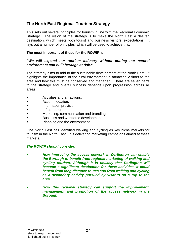# **The North East Regional Tourism Strategy**

This sets out several principles for tourism in line with the Regional Economic Strategy. The vision of the strategy is to make the North East a desired destination, which meets both tourist and business visitors' expectations. It lays out a number of principles, which will be used to achieve this.

### **The most important of these for the ROWIP is:**

### *"We will expand our tourism industry without putting our natural environment and built heritage at risk."*

The strategy aims to add to the sustainable development of the North East. It highlights the importance of the rural environment in attracting visitors to the area and how this must be conserved and managed. There are seven parts to the strategy and overall success depends upon progression across all areas:

- Activities and attractions;
- **Accommodation:**
- Information provision;
- Infrastructure;
- Marketing, communication and branding;
- Business and workforce development;
- Planning and the environment.

One North East has identified walking and cycling as key niche markets for tourism in the North East. It is delivering marketing campaigns aimed at these markets**.** 

## *The ROWIP should consider:*

- *How improving the access network in Darlington can enable the Borough to benefit from regional marketing of walking and cycling tourism. Although it is unlikely that Darlington will become a significant destination for these activities, it could benefit from long distance routes and from walking and cycling as a secondary activity pursued by visitors on a trip to the area.*
- *How this regional strategy can support the improvement, management and promotion of the access network in the Borough*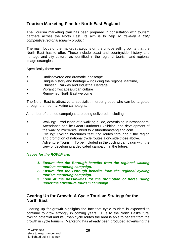# **Tourism Marketing Plan for North East England**

The Tourism marketing plan has been prepared in consultation with tourism partners across the North East. Its aim is to help *'to develop a truly competitive regional tourism product.'* 

The main focus of the market strategy is on the unique selling points that the North East has to offer. These include coast and countryside, history and heritage and city culture, as identified in the regional tourism and regional image strategies.

Specifically these are:

- **Example 3** Undiscovered and dramatic landscape
- Unique history and heritage including the regions Maritime, Christian, Railway and Industrial Heritage
- Vibrant cityscapes/urban culture
- Renowned North East welcome

 The North East is attractive to specialist interest groups who can be targeted through themed marketing campaigns.

A number of themed campaigns are being delivered, including:

- Walking: Production of a walking guide, advertising in newspapers, Attendance at 'The Great Outdoors Exhibition' and development of the walking micro-site linked to visitnortheastengland.com.
- **EXECY Cycling: Cycling brochures featuring routes throughout the region** and promotion of national cycle routes alongside those above.
- Adventure Tourism: To be included in the cycling campaign with the view of developing a dedicated campaign in the future.

### *Issues for the ROWIP are:*

- *1. Ensure that the Borough benefits from the regional walking tourism marketing campaign.*
- *2. Ensure that the Borough benefits from the regional cycling tourism marketing campaign.*
- **3.** *Look at the possibilities for the promotion of horse riding under the adventure tourism campaign.*

## **Gearing Up for Growth: A Cycle Tourism Strategy for the North East**

Gearing up for growth highlights the fact that cycle tourism is expected to continue to grow strongly in coming years. Due to the North East's rural cycling potential and its urban cycle routes the area is able to benefit from the growth in cycle tourism. Marketing has already been produced advertising the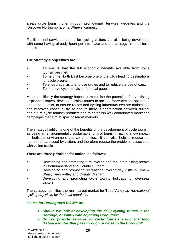area's cycle tourism offer through promotional literature, websites and the 'Discover Northumbria on 2 Wheels' campaign.

Facilities and services needed for cycling visitors are also being developed, with some having already been put into place and the strategy aims to build on this.

### **The strategy's objectives are:**

- To ensure that the full economic benefits available from cycle tourism are met;
- To help the North East become one of the UK's leading destinations for cycle breaks;
- To encourage visitors to use cycles and to reduce the use of cars;
- To improve cycle provision for local people.

More specifically the strategy hopes to; maximise the potential of any existing or planned routes, develop existing routes to include more circular options to appeal to tourists, to ensure routes and cycling infrastructures are maintained and improved continuously, to ensure there is coordination between current and future cycle tourism products and to establish well coordinated marketing campaigns that aim at specific target markets.

The strategy highlights one of the benefits of the development of cycle tourism as being an environmentally sustainable form of tourism, having a low impact on both the environment and communities. It can also help to reduce the number of cars used by visitors and therefore reduce the problems associated with visitor traffic.

### **There are three priorities for action, as follows:**

- **Developing and promoting rural cycling and mountain biking breaks** in Northumberland and County Durham
- Developing and promoting recreational cycling day visits in Tyne & Wear, Tees Valley and County Durham
- Developing and promoting cycle touring holidays for overseas visitors

The strategy identifies the main target market for Tees Valley as *'recreational cycling day visits by the local population'*

### *Issues for Darlington's ROWIP are:*

- *1. Should we look at developing the daily cycling routes in the Borough, or jointly with adjoining Boroughs?*
- *2. Do we provide services to cycle tourists using the long distance routes that pass through or close to the Borough?*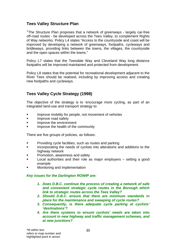# **Tees Valley Structure Plan**

<sup>1</sup>The Structure Plan proposes that a network of greenways - largely car-free off-road routes - be developed across the Tees Valley, to complement Rights of Way networks. Policy L4 states "Access to the countryside and coast will be improved by developing a network of greenways, footpaths, cycleways and bridleways, providing links between the towns, the villages, the countryside and the open spaces within the towns."

Policy L7 states that the Teesdale Way and Cleveland Way long distance footpaths will be improved maintained and protected from development.

Policy L8 states that the potential for recreational development adjacent to the River Tees should be realised, including by improving access and creating new footpaths and cycleways.

# **Tees Valley Cycle Strategy (1998)**

The objective of the strategy is to 'encourage more cycling, as part of an integrated land-use and transport strategy to:

- **IMPROVE MODILITY for people, not movement of vehicles**
- **IMPROVE FOAD SAFETY**
- **IMPROVE the environment**
- Improve the health of the community

There are five groups of policies, as follows:

- **•** Providing cycle facilities, such as routes and parking
- Incorporating the needs of cyclists into alterations and additions to the highway network
- Promotion, awareness and safety
- Local authorities and their role as major employers setting a good example
- Monitoring and implementation

### *Key issues for the Darlington ROWIP are:*

- *1. Does D.B.C. continue the process of creating a network of safe and convenient strategic cycle routes in the Borough which link to strategic routes across the Tees Valley?*
- *2. Should D.B.C. ensure that there are minimum standards in place for the maintenance and sweeping of cycle routes?*
- *3. Consequently, is there adequate cycle parking at cyclists' 'destinations'?*
- *4. Are there systems to ensure cyclists' needs are taken into account in new highway and traffic management schemes, and at new junctions?*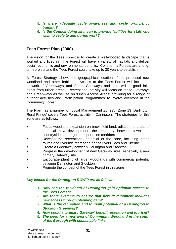- *5. Is there adequate cycle awareness and cycle proficiency training?*
- *6. Is the Council doing all it can to provide facilities for staff who wish to cycle to and during work?*

# **Tees Forest Plan (2000)**

The vision for the Tees Forest is to 'create a well-wooded landscape that is worked and lived in'. The Forest will have a variety of habitats and deliver social, economic and environmental benefits. Community Forests are a longterm project and the Tees Forest could take up to 30 years to establish

A 'Forest Strategy' shows the geographical location of the proposed new woodland and other habitats. Access to the Tees Forest will include a network of 'Greenways' and 'Forest Gateways' and there will be good links direct from urban areas. Recreational activity will focus on these Gateways and Greenways as well as on 'Open Access Areas' providing for a range of outdoor activities and 'Participation Programmes' to involve everyone in the Community Forest.

The Plan has a number of 'Local Management Zones'. Zone 13 'Darlington Rural Fringe' covers Tees Forest activity in Darlington. The strategies for this zone are as follows:

- Focus woodland expansion on brownfield land, adjacent to areas of potential new development, the boundary between town and countryside and major transportation corridors
- **Develop the recreational potential of the zone, including green** routes and riverside recreation on the rivers Tees and Skerne
- Create a Greenway between Darlington and Stockton
- Progress the development of new Gateway sites, especially a new primary Gateway site
- Encourage planting of larger woodlands with commercial potential between Darlington and Stockton
- Promote the concept of the Tees Forest in this zone

### *Key issues for the Darlington ROWIP are as follows:*

- *1. How can the residents of Darlington gain optimum access to the Tees Forest?*
- *2. Are there systems to ensure that new development includes new access through planning gain?*
- *3. What is the recreation and tourism potential of a Darlington to Stockton Greenway?*
- *4. How could a 'primary Gateway' benefit recreation and tourism?*
- *5. The need for a new area of Community Woodland in the south of the Borough with sustainable links.*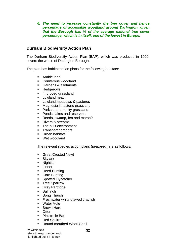*6. The need to increase constantly the tree cover and hence percentage of accessible woodland around Darlington, given that the Borough has ¼ of the average national tree cover percentage, which is in itself, one of the lowest in Europe.* 

# **Durham Biodiversity Action Plan**

The Durham Biodiversity Action Plan (BAP), which was produced in 1999, covers the whole of Darlington Borough.

The plan has habitat action plans for the following habitats:

- **Arable land**
- **Coniferous woodland**
- Gardens & allotments
- **Hedgerows**
- **Improved grassland**
- **Lowland heath**
- **Lowland meadows & pastures**
- **Magnesia limestone grassland**
- **Parks and amenity grassland**
- **Ponds, lakes and reservoirs**
- Reeds, swamp, fen and marsh?
- Rivers & streams
- The built environment
- **Transport corridors**
- **Urban habitats**
- Wet woodland

The relevant species action plans (prepared) are as follows:

- **Great Crested Newt**
- Skylark
- **Nightjar**
- **Linnet**
- Reed Bunting
- Corn Bunting
- **Spotted Flycatcher**
- **Tree Sparrow**
- **Grey Partridge**
- **Bullfinch**
- **Song Thrush**
- **Freshwater white-clawed crayfish**
- Water Vole
- **Brown Hare**
- **n** Otter
- **Pipistrelle Bat**
- Red Squirrel
- Round-mouthed Whorl Snail

\*M within text refers to map number and: highlighted point in annex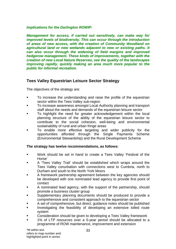### *Implications for the Darlington ROWIP:*

*Management for access, if carried out sensitively, can make way for improved levels of biodiversity. This can occur through the introduction of areas of new access, with the creation of Community Woodland on agricultural land or new wetlands adjacent to new or existing paths. It can also occur through the widening of field margins and improved hedgerow management. These kinds of improvements, together with the creation of new Local Nature Reserves, see the quality of the landscapes improving rapidly, quickly making an area much more popular to the public for informal recreation.*

# **Tees Valley Equestrian Leisure Sector Strategy**

The objectives of the strategy are:

- To increase the understanding and raise the profile of the equestrian sector within the Tees Valley sub-region
- To increase awareness amongst Local Authority planning and transport staff about the needs and demands of the equestrian leisure sector
- To highlight the need for greater acknowledgement within the local planning structure of the ability of the equestrian leisure sector to contribute to the social cohesion, well-being and environmental sustainability of rural and urban fringe areas
- To enable more effective targeting and wider publicity for the opportunities afforded through the Single Payments Scheme (Environmental Stewardship) and the Rural Development Scheme

### **The strategy has twelve recommendations, as follows:**

- **Work should be set in hand to create a Tees Valley 'Festival of the** Horse'
- A 'Tees Valley Trail' should be established which wraps around the Tees Valley conurbation with connections west to Cumbria, north to Durham and south to the North York Moors
- A framework partnership agreement between the key agencies should be developed with one nominated lead agency to provide first point of contact
- A nominated lead agency, with the support of the partnership, should promote a business cluster group
- Supplementary planning documents should be produced to provide a comprehensive and consistent approach to the equestrian sector
- A set of comprehensive, but direct, guidance notes should be published
- Investigating the feasibility of developing an extensive tolled route system
- Consideration should be given to developing a Tees Valley framework
- 1% of LTP resources over a 5-year period should be allocated to a programme of ROW maintenance, improvement and extension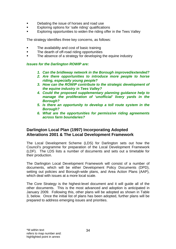- Debating the issue of horses and road use
- Exploring options for 'safe riding' qualifications
- Exploring opportunities to widen the riding offer in the Tees Valley

The strategy identifies three key concerns, as follows:

- The availability and cost of basic training
- **The dearth of off-road riding opportunities**
- The absence of a strategy for developing the equine industry

### *Issues for the Darlington ROWIP are:*

- *1. Can the bridleway network in the Borough improved/extended?*
- *2. Are there opportunities to introduce more people to horse riding, especially young people?*
- *3. How can the ROWIP contribute to the strategic development of the equine industry in Tees Valley?*
- *4. Could the proposed supplementary planning guidance help to manage the proliferation of 'unofficial' livery yards in the Borough?*
- *5. Is there an opportunity to develop a toll route system in the Borough?*
- *6. What are the opportunities for permissive riding agreements across farm boundaries?*

## **Darlington Local Plan (1997) Incorporating Adopted Alterations 2001 & The Local Development Framework**

 The Local Development Scheme (LDS) for Darlington sets out how the Council's programme for preparation of the Local Development Framework (LDF). The LDS lists a number of documents and sets out a timetable for their production.

 The Darlington Local Development Framework will consist of a number of documents, which will be either Development Policy Documents (DPD), setting out policies and Borough-wide plans, and Area Action Plans (AAP), which deal with issues at a more local scale.

 The Core Strategy is the highest-level document and it will guide all of the other documents. This is the most advanced and adoption is anticipated in January 2009. Following this, other plans will be adopted as shown in Table 3, below. Once the initial list of plans has been adopted, further plans will be prepared to address emerging issues and priorities.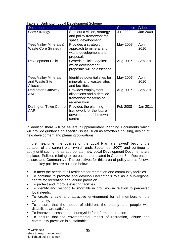| Table 3: Darlington Local Development Scheme |  |  |  |
|----------------------------------------------|--|--|--|
|----------------------------------------------|--|--|--|

| <b>Document</b>                                             | <b>Role</b>                                                                                 | Commence        | <b>Adoption</b> |
|-------------------------------------------------------------|---------------------------------------------------------------------------------------------|-----------------|-----------------|
| <b>Core Strategy</b>                                        | Sets out a vision, strategy<br>and policy framework for<br>spatial development              | <b>Jul 2002</b> | Jan 2009        |
| Tees Valley Minerals &<br><b>Waste Core Strategy</b>        | Provides a strategic<br>approach to mineral and<br>waste development and<br>proposals       | May 2007        | April<br>2010   |
| <b>Development Policies</b>                                 | Generic policies against<br>which development<br>proposals will be assessed                 | Aug 2007        | Sep 2010        |
| <b>Tees Valley Minerals</b><br>and Waste Site<br>Allocation | Identifies potential sites for<br>minerals and wastes sites<br>and facilities               | May 2007        | April<br>2010   |
| Darlington Gateway<br>AAP                                   | Provides employment<br>allocations and a detailed<br>framework for areas of<br>regeneration | Aug 2007        | Sep 2010        |
| Darlington Town Centre<br>AAP                               | Provides the planning<br>framework for the future<br>development of the town<br>centre      | Feb 2008        | Jan 2011        |

In addition there will be several Supplementary Planning Documents which will provide guidance on specific issues, such as affordable housing, design of new development and planning obligations

In the meantime, the policies of the Local Plan are 'saved' beyond the duration of the current plan (which ends September 2007) and continue to apply until such time as appropriate, new Local Development Documents are in place. Policies relating to recreation are located in Chapter 5 – 'Recreation, Leisure and Community'. The objectives for this area of policy are as follows and the key policies are outlined below:

- To meet the needs of all residents for recreation and community facilities.
- To continue to promote and develop Darlington's role as a sub-regional centre for recreation and leisure provision.
- To protect and improve existing facilities.
- To identify and respond to shortfalls in provision in relation to perceived local needs.
- To create a safe and attractive environment for all members of the community.
- To ensure that the needs of children, the elderly and people with disabilities are satisfied.
- To improve access to the countryside for informal recreation
- To ensure that the environmental impact of recreation, leisure and community provision is sustainable.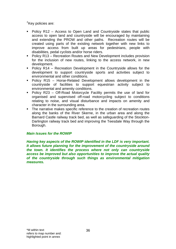<sup>2</sup>Key policies are:

- Policy R12 Access to Open Land and Countryside states that public access to open land and countryside will be encouraged by maintaining and extending the PROW and other paths. Recreation routes will be created using parts of the existing network together with new links to improve access from built up areas for pedestrians, people with disabilities, pedal cyclists and/or horse riders.
- Policy R13 Recreation Routes and New Development includes provision for the inclusion of new routes, linking to the access network, in new development.
- Policy R14 Recreation Development in the Countryside allows for the development to support countryside sports and activities subject to environmental and other conditions.
- Policy R15 Horse-Related Development allows development in the countryside of facilities to support equestrian activity subject to environmental and amenity conditions.
- Policy R23 Off-Road Motorcycle Facility permits the use of land for organised and supervised off-road motorcycling subject to conditions relating to noise, and visual disturbance and impacts on amenity and character in the surrounding area.
- The narrative makes specific reference to the creation of recreation routes along the banks of the River Skerne, in the urban area and along the Barnard Castle railway track bed, as well as safeguarding of the Stockton-Darlington railway track bed and improving the Teesdale Way through the Borough.

### *Main Issues for the ROWIP*

*Having key aspects of the ROWIP identified in the LDF is very important. It allows future planning for the improvement of the countryside around the town. It identifies the process where not only can countryside access be improved but also opportunities to improve the actual quality of the countryside through such things as environmental mitigation measures.*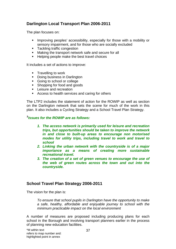# **Darlington Local Transport Plan 2006-2011**

The plan focuses on:

- **IMPROVIGOUS** accessibility, especially for those with a mobility or sensory impairment, and for those who are socially excluded
- Tackling traffic congestion
- Making the transport network safe and secure for all
- Helping people make the best travel choices

It includes a set of actions to improve:

- **Travelling to work**
- **Doing business in Darlington**
- Going to school or college
- Shopping for food and goods
- **Leisure and recreation**
- Access to health services and caring for others

The LTP2 includes the statement of action for the ROWIP as well as section on the Darlington network that sets the scene for much of the work in this plan. It also includes a Cycling Strategy and a School Travel Plan Strategy.

## **3** *Issues for the ROWIP are as follows:*

- *1. The access network is primarily used for leisure and recreation trips, but opportunities should be taken to improve the network in and close to built-up areas to encourage non motorised modes for utility trips, including travel to work and travel to school*
- *2. Linking the urban network with the countryside is of a major importance as a means of creating more sustainable recreational travel.*
- *3. The creation of a set of green venues to encourage the use of the web of green routes across the town and out into the countryside.*

# **School Travel Plan Strategy 2006-2011**

The vision for the plan is:

*To ensure that school pupils in Darlington have the opportunity to make a safe, healthy, affordable and enjoyable journey to school with the minimum practicable impact on the local environment* 

A number of measures are proposed including producing plans for each school in the Borough and involving transport planners earlier in the process of planning new education facilities.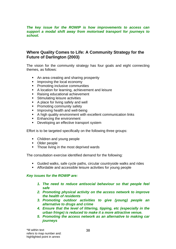#### *The key issue for the ROWIP is how improvements to access can support a modal shift away from motorised transport for journeys to school.*

# **Where Quality Comes to Life: A Community Strategy for the Future of Darlington (2003)**

The vision for the community strategy has four goals and eight connecting themes, as follows:

- An area creating and sharing prosperity
- **IMPROVING the local economy**
- **•** Promoting inclusive communities
- A location for learning, achievement and leisure
- Raising educational achievement
- **Stimulating leisure activities**
- A place for living safely and well
- **Promoting community safety**
- **IMPROVING health and well-being**
- A high quality environment with excellent communication links
- **Enhancing the environment**
- Developing an effective transport system

Effort is to be targeted specifically on the following three groups:

- Children and young people
- Older people
- Those living in the most deprived wards

The consultation exercise identified demand for the following:

- Guided walks, safe cycle paths, circular countryside walks and rides
- Affordable and accessible leisure activities for young people

## *Key issues for the ROWIP are:*

- *1. The need to reduce antisocial behaviour so that people feel safe*
- *2. Promoting physical activity on the access network to improve the health of residents*
- *3. Promoting outdoor activities to give (young) people an alternative to drugs and crime*
- *4. Ensure that the level of littering, tipping, etc (especially in the urban fringe) is reduced to make it a more attractive venue.*
- *5. Promoting the access network as an alternative to making car journeys*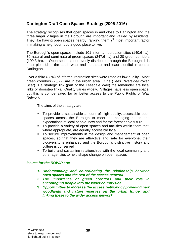# **Darlington Draft Open Spaces Strategy (2006-2016)**

The strategy recognises that open spaces in and close to Darlington and the three larger villages in the Borough are important and valued by residents. They like having open spaces nearby, ranking them  $7<sup>th</sup>$  most important factor in making a neighbourhood a good place to live.

The Borough's open spaces include 101 informal recreation sites (140.6 ha), 30 natural and semi-natural green spaces (247.6 ha) and 20 green corridors (109.3 ha). Open space is not evenly distributed through the Borough; it is most plentiful in the south west and northeast and least plentiful in central Darlington.

Over a third (38%) of informal recreation sites were rated as low quality. Most green corridors (20/22) are in the urban area. One (Tees Riverside/Broken Scar) is a strategic link (part of the Teesdale Way) the remainder are local links or doorstep links. Quality varies widely. Villages have less open space, but this is compensated for by better access to the Public Rights of Way **Network** 

The aims of the strategy are:

- To provide a sustainable amount of high quality, accessible open spaces across the Borough to meet the changing needs and expectations of local people, now and for the foreseeable future
- To provide a variety of open spaces and facilities within them that, where appropriate, are equally accessible by all
- To secure improvements in the design and management of open spaces, so that they are attractive and safe for everyone, their biodiversity is enhanced and the Borough's distinctive history and culture is conserved
- To build and sustaining relationships with the local community and other agencies to help shape change on open spaces

## *Issues for the ROWIP are:*

- *1. Understanding and co-ordinating the relationship between open spaces and the rest of the access network*
- *2. The importance of green corridors and their role in encouraging people into the wider countryside*
- **3.** *Opportunities to increase the access network by providing new woodlands and nature reserves on the urban fringe, and linking these to the wider access network*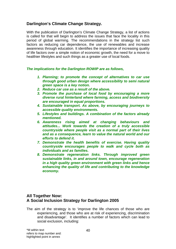# **Darlington's Climate Change Strategy.**

With the publication of Darlington's Climate Change Strategy, a list of actions is called for that will begin to address the issues that face the locality in this period of global warming. The recommendations in the strategy list such factors as reducing car dependence, the use of renewables and increase awareness through education. It identifies the importance of increasing quality of life factors over a simple notion of economic growth, the need for a move to healthier lifestyles and such things as a greater use of local foods.

## *The implications for the Darlington ROWIP are as follows,*

- *1. Planning; to promote the concept of alternatives to car use through good urban design where accessibility to semi natural green space is a key notion.*
- *2. Reduce car use as a result of the above.*
- *3. Promote the purchase of local food by encouraging a more diverse rural hinterland where farming, access and biodiversity are encouraged in equal proportions.*
- *4. Sustainable transport. As above, by encouraging journeys to accessible quality environments.*
- *5. Lifestyles and buildings. A combination of the factors already mentioned.*
- *6. Awareness rising aimed at changing behaviours and attitudes... Work towards the creation of a truly accessible countryside where people visit as a normal part of their lives and as a consequence, learn to value the natural world and our efforts to defend it.*
- *7. Demonstrate the health benefits of exercise. Having quality countryside encourages people to walk and cycle both as individuals and as families.*
- *8. Demonstrate regeneration links. Through improved green sustainable links, in and around town, encourage regeneration in a high quality green environment with green links and hence enhancing the quality of life and contributing to the knowledge economy.*

# **All Together Now: A Social Inclusion Strategy for Darlington 2005**

The aim of the strategy is to 'improve the life chances of those who are experiencing, and those who are at risk of experiencing, discrimination and disadvantage'. It identifies a number of factors which can lead to social exclusion, including: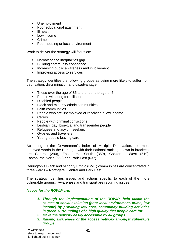- **Unemployment**
- Poor educational attainment
- III health
- Low income
- **Crime**
- **Poor housing or local environment**

Work to deliver the strategy will focus on:

- Narrowing the inequalities gap
- **Building community confidence**
- **Increasing public awareness and involvement**
- **IMPROVING ACCESS to services**

The strategy identifies the following groups as being more likely to suffer from deprivation, discrimination and disadvantage:

- Those over the age of 85 and under the age of 5
- People with long term illness
- **•** Disabled people
- **Black and minority ethnic communities**
- **Faith communities**
- **People who are unemployed or receiving a low income**
- **Carers**
- **People with criminal convictions**
- **Lesbian, gay, bisexual and transgender people**
- Refugees and asylum seekers
- **Gypsies and travellers**
- Young people leaving care

According to the Government's Index of Multiple Deprivation, the most deprived wards in the Borough, with their national ranking shown in brackets, are Central (290), Eastbourne South (359), Cockerton West (519), Eastbourne North (559) and Park East (637).

Darlington's Black and Minority Ethnic (BME) communities are concentrated in three wards – Northgate, Central and Park East.

The strategy identifies issues and actions specific to each of the more vulnerable groups. Awareness and transport are recurring issues.

#### *Issues for the ROWIP are:*

- *1. Through the implementation of the ROWIP, help tackle the causes of social exclusion (poor local environment, crime, low income) by providing low cost, community building activities in green surroundings of a high quality that people care for.*
- *2. Make the network easily accessible by all groups.*
- *3. Raising awareness of the access network amongst vulnerable groups*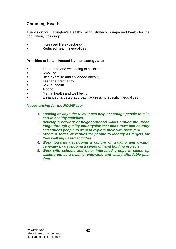# **Choosing Health**

The vision for Darlington's Healthy Living Strategy is improved health for the population, including:

- Increased life expectancy
- **Reduced health inequalities**

#### **Priorities to be addressed by the strategy are:**

- **The health and well being of children**
- **Smoking**
- **Diet, exercise and childhood obesity**
- **Teenage pregnancy**
- **Sexual health**
- Alcohol
- Mental health and well being
- Enhanced targeted approach addressing specific inequalities

## *Issues arising for the ROWIP are:*

- *1. Looking at ways the ROWIP can help encourage people to take part in healthy activities,*
- *2. Develop a network of neighbourhood walks around the urban fringe through quality countryside that links town and country and entices people to want to explore their own back yard.*
- *3. Create a series of venues for people to identify as targets for their walking based activities.*
- *4. Work towards developing a culture of walking and cycling generally by developing a series of hand holding projects. .*
- *5. Work with schools and other interested groups in taking up walking etc as a healthy, enjoyable and easily affordable past time.*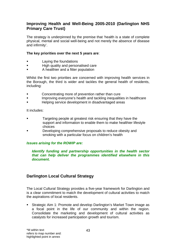# **Improving Health and Well-Being 2005-2010 (Darlington NHS Primary Care Trust)**

The strategy is underpinned by the premise that 'health is a state of complete physical, mental and social well-being and not merely the absence of disease and infirmity'.

### **The key priorities over the next 5 years are**:

- **Example 1** Laying the foundations
- **High quality and personalised care**
- A healthier and a fitter population

Whilst the first two priorities are concerned with improving health services in the Borough, the third is wider and tackles the general health of residents, including:

- **Example 3** Concentrating more of prevention rather than cure
- **IMPROVIG EVERGENCES** Improving everyone's health and tackling inequalities in healthcare
- Helping service development in disadvantaged areas

It includes:

- **Targeting people at greatest risk ensuring that they have the** support and information to enable them to make healthier lifestyle choices
- Developing comprehensive proposals to reduce obesity and smoking with a particular focus on children's health

## *Issues arising for the ROWIP are:*

#### *Identify funding and partnership opportunities in the health sector that can help deliver the programmes identified elsewhere in this document.*

# **Darlington Local Cultural Strategy**

The Local Cultural Strategy provides a five-year framework for Darlington and is a clear commitment to match the development of cultural activities to match the aspirations of local residents.

 Strategic Aim 1: Promote and develop Darlington's Market Town image as a focal point in the life of our community and within the region. Consolidate the marketing and development of cultural activities as catalysts for increased participation growth and tourism.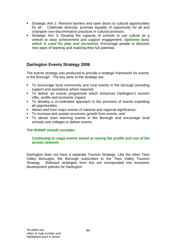- Strategic Aim 2: Remove barriers and open doors to cultural opportunities for all. Celebrate diversity; promote equality of opportunity for all and champion non-discriminatory practices in cultural provision.
- Strategic Aim 3: Develop the capacity of schools to use culture as a vehicle to raise achievement and support engagement. *Optimise land,*  **which is used for play and recreation.** Encourage people to discover new ways of learning and realizing their full potential.

# **Darlington Events Strategy 2006**

The events strategy was produced to provide a strategic framework for events in the Borough. The key aims of the strategy are:

- To encourage local community and rural events in the borough providing support and assistance where required:
- To deliver an events programme which enhances Darlington's tourism offer, profile and economic impact;
- To develop a co-ordinated approach to the provision of events exploiting all opportunities;
- Attract and host major events of national and regional significance;
- To increase and sustain economic growth from events; and
- To attract town twinning events in the Borough and encourage local schools and colleges to deliver events.

## *The ROWIP should consider:*

## *Continuing to stage events aimed at raising the profile and use of the access network.*

Darlington does not have a separate Tourism Strategy. Like the other Tees Valley Boroughs, the Borough subscribes to the Tees Valley Tourism Strategy. Relevant strategies from this are incorporated into economic development policies for Darlington.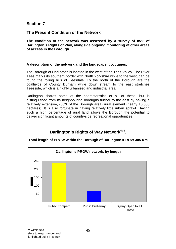# **Section 7**

# **The Present Condition of the Network**

**The condition of the network was assessed by a survey of 85% of Darlington's Rights of Way, alongside ongoing monitoring of other areas of access in the Borough.** 

## **A description of the network and the landscape it occupies.**

The Borough of Darlington is located in the west of the Tees Valley. The River Tees marks its southern border with North Yorkshire while to the west, can be found the rolling hills of Teesdale. To the north of the Borough are the coalfields of County Durham while down stream to the east stretches Teesside, which is a highly urbanised and industrial area.

Darlington shares some of the characteristics of all of these, but is distinguished from its neighbouring boroughs further to the east by having a relatively extensive, (80% of the Borough area) rural element (nearly 16,000 hectares). It is also fortunate in having relatively little urban sprawl. Having such a high percentage of rural land allows the Borough the potential to deliver significant amounts of countryside recreational opportunities.

# Darlington's Rights of Way Network<sup>\*M1</sup>.



**Total length of PROW within the Borough of Darlington = ROW 305 Km**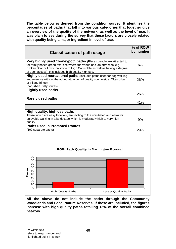**The table below is derived from the condition survey. It identifies the percentages of paths that fall into various categories that together give an overview of the quality of the network, as well as the level of use. It was plain to see during the survey that these factors are closely related with quality being a major ingredient in level of use.** 

| <b>Classification of path usage</b>                                                                                                                                                                                                                                                     | % of ROW<br>by number |
|-----------------------------------------------------------------------------------------------------------------------------------------------------------------------------------------------------------------------------------------------------------------------------------------|-----------------------|
| Very highly used "honeypot" paths (Places people are attracted to<br>for family based green exercise where the venue has 'an attraction' e.g.<br>Broken Scar or Low Coniscliffe to High Coniscliffe as well as having a degree<br>of open access), this includes high quality high use. | 6%                    |
| <b>Highly used recreational paths</b> (includes paths used for dog walking<br>and exercise without the added attraction of quality countryside. Often urban<br>or village fringe)<br>(not urban utility routes)                                                                         | 26%                   |
| Lightly used paths                                                                                                                                                                                                                                                                      | 26%                   |
| Rarely used paths                                                                                                                                                                                                                                                                       | 41%                   |
|                                                                                                                                                                                                                                                                                         |                       |
| High quality, high use paths<br>Those which are easy to follow, are inviting to the uninitiated and allow for<br>enjoyable walking in a landscape which is moderately high to very high                                                                                                 |                       |
| quality                                                                                                                                                                                                                                                                                 | 9%                    |
| <b>Paths used in Promoted Routes</b>                                                                                                                                                                                                                                                    |                       |
| (100 separate paths)                                                                                                                                                                                                                                                                    | 29%                   |



**All the above do not include the paths through the Community Woodlands and Local Nature Reserves. If these are included, the figures increase with high quality paths totalling 15% of the overall combined network.**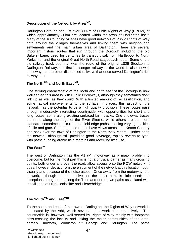# **Description of the Network by Area\*M2.**

Darlington Borough has just over 300km of Public Rights of Way (PROW) of which approximately 30km are located within the town of Darlington itself. Many of the surrounding villages have good networks of Public Rights of Way both around the villages themselves and linking them with neighbouring settlements and the main urban area of Darlington. There are several important historic routes that run through the Borough including the old Salters' Lane, used for centuries to transport salt from Hartlepool to North Yorkshire, and the original Great North Road stagecoach route. Some of the old railway track bed that was the route of the original 1825 Stockton to Darlington Railway, the first passenger railway in the world is also, now a bridleway, as are other dismantled railways that once served Darlington's rich railway past.

# The North<sup>\*M3</sup> and North East<sup>\*M4</sup>.

One striking characteristic of the north and north east of the Borough is how well served this area is with Public Bridleways, although they sometimes don't link up as well as they could. With a limited amount of reclassification, and some radical improvements to the surface in places, this aspect of the network has the potential to be a high quality provision. These routes pass through moderately interesting countryside, with opportunities for short and long routes, some along existing surfaced farm tracks. One bridleway traces the route along the edge of the River Skerne, while others are the more standard, sometimes difficult to use field-edge paths crossing varying qualities of stile and gate. Some of these routes have views across the Ketton Country and back over the town of Darlington to the North York Moors. Further north the network, although still providing good coverage, rapidly reverts to type, with paths hugging arable field margins and receiving little use.

## **The West\*M7**

The west of Darlington has the A1 (M) motorway as a major problem to overcome, but for the most part this is not a physical barrier as many crossing points, both under and over the road, allow access onto the ROW network. It does, however detract from the enjoyment of the network at this location, both visually and because of the noise aspect. Once away from the motorway, the network, although comprehensive for the most part, is little used; the exceptions being routes along the Tees and one or two paths associated with the villages of High Coniscliffe and Piercebridge.

#### **The South\*M9 and East\*M10**

To the south and east of the town of Darlington, the Rights of Way network is dominated by the A66, which severs the network comprehensively. The countryside is, however, well served by Rights of Way mainly with footpaths criss-crossing the locality and linking the major communities of the area, namely Hurworth, Middleton St George and Darlington. The paths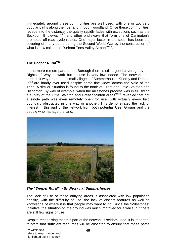immediately around these communities are well used, with one or two very popular paths along the river and through woodland. Once these communities' recede into the distance, the quality rapidly fades with exceptions such as the Sockburn Bridleway<sup>\*M9:2</sup> and other bridleways that form one of Darlington's promoted off-road cycle routes. One major factor in the south has been the severing of many paths during the Second World War by the construction of what is now called the Durham Tees Valley Airport<sup>M9:3</sup>.

# **The Deeper Rural\*M5.**

In the more remote parts of the Borough there is still a good coverage by the Rights of Way network but its use is very low indeed. The network that threads it way around the small villages of Summerhouse, Killerby and Denton \*M5:2 are hardly ever used despite some fine views across the Vale of the Tees. A similar situation is found to the north at Great and Little Stainton and Bishopton. By way of example, when the milestones process was in full swing a survey of the Little Stainton and Great Stainton areas<sup>\*M5:1</sup> revealed that not a single path was even remotely open for use, with virtually every field boundary obstructed in one way or another. This demonstrated the lack of interest in this part of the network from both potential User Groups and the people who manage the land.



*The "Deeper Rural" - Bridleway at Summerhouse*

The lack of use of these outlying areas is associated with low population density, with the difficulty of use, the lack of distinct features as well as knowledge of where it is that people may want to go. Since the "Milestones" Initiative, the situation on the ground was much improved for a while, but there are still few signs of use.

Despite recognising that this part of the network is seldom used, it is important to state that sufficient resources will be allocated to ensure that these paths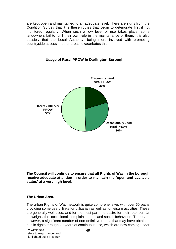are kept open and maintained to an adequate level. There are signs from the Condition Survey that it is these routes that begin to deteriorate first if not monitored regularly. When such a low level of use takes place, some landowners fail to fulfil their own role in the maintenance of them. It is also possibly that the Local Authority, being more involved with promoting countryside access in other areas, exacerbates this.



#### **Usage of Rural PROW in Darlington Borough.**

**The Council will continue to ensure that all Rights of Way in the borough receive adequate attention in order to maintain the 'open and available status' at a very high level.** 

#### **The Urban Area.**

The urban Rights of Way network is quite comprehensive, with over 60 paths providing some useful links for utilitarian as well as for leisure activities. These are generally well used, and for the most part, the desire for their retention far outweighs the occasional complaint about anti-social behaviour. There are however, a significant number of non-definitive routes that may have obtained public rights through 20 years of continuous use, which are now coming under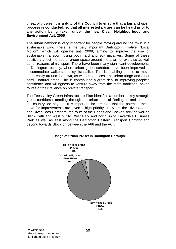#### threat of closure. **It is a duty of the Council to ensure that a fair and open process is conducted, so that all interested parties can be heard prior to any action being taken under the new Clean Neighbourhood and Environment Act, 2005**

The urban network is very important for people moving around the town in a sustainable way. There is the very important Darlington initiative; "Local Motion", which will operate until 2009, aiming to improve the use of sustainable transport, using both hard and soft initiatives. Some of these positively affect the use of green space around the town for exercise as well as for reasons of transport. There have been many significant developments in Darlington recently, where urban green corridors have been improved to accommodate walkers and cyclists alike. This is enabling people to move more easily around the town, as well as to access the urban fringe and other semi - natural areas. This is contributing a great deal to improving people's confidence and willingness to venture away from the more traditional paved routes or their reliance on private transport.

The Tees valley Green Infrastructure Plan identifies a number of key strategic green corridors extending through the urban area of Darlington and out into the countryside beyond. It is important for this plan that the potential these have for improvements are given a high priority. They are the River Skerne and River Tees Corridors, the route of the Denes and Cocker Beck as well as Black Path and west out to West Park and north up to Faverdale Business Park as well as east along the Darlington Eastern Transport Corridor and beyond towards Stockton between the A66 and the A67.



#### **Usage of Urban PROW in Darlington Borough**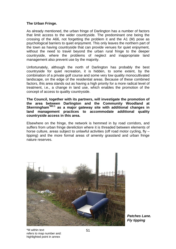## **The Urban Fringe.**

As already mentioned, the urban fringe of Darlington has a number of factors that limit access to the wider countryside. The predominant one being the crossing of the A66, not forgetting the problem it and the A1 (M) pose as psychological barriers to quiet enjoyment. This only leaves the northern part of the town as having countryside that can provide venues for quiet enjoyment, without the need to travel beyond the urban rural fringe to the deeper countryside, where the problems of neglect and inappropriate land management also prevent use by the majority.

Unfortunately, although the north of Darlington has probably the best countryside for quiet recreation, it is hidden, to some extent, by the combination of a private golf course and some very low quality monocultivated landscape, on the edge of the residential areas. Because of these combined factors, this area stands out as having a high priority for a more radical level of treatment, i.e., a change in land use, which enables the promotion of the concept of access to quality countryside.

**The Council, together with its partners, will investigate the promotion of the area between Darlington and the Community Woodland at Skerningham\*M3:1 as a major gateway site with additional changes in land management practices to accommodate additional quality countryside access in this area.**

Elsewhere on the fringe, the network is hemmed in by road corridors, and suffers from urban fringe dereliction where it is threaded between elements of horse culture, areas subject to unlawful activities (off road motor cycling, fly – tipping) and the more formal areas of amenity grassland and urban fringe nature reserves.



*Patches Lane. Fly tipping*

\*M within text refers to map number and: highlighted point in annex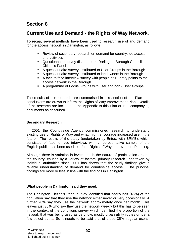# **Section 8**

# **Current Use and Demand - the Rights of Way Network.**

To recap, several methods have been used to research use of and demand for the access network in Darlington, as follows:

- Review of secondary research on demand for countryside access and activities
- Questionnaire survey distributed to Darlington Borough Council's Citizen's Panel
- A questionnaire survey distributed to User Groups in the Borough
- A questionnaire survey distributed to landowners in the Borough
- A face to face interview survey with people at 10 entry points to the access network in the Borough
- A programme of Focus Groups with user and non User Groups

The results of this research are summarised in this section of the Plan and conclusions are drawn to inform the Rights of Way Improvement Plan. Details of the research are included in the Appendix to this Plan or in accompanying documents as described.

#### **Secondary Research**

In 2001, the Countryside Agency commissioned research to understand existing use of Rights of Way and what might encourage increased use in the future. The results of the study (undertaken by Entec, with BRMB), which consisted of face to face interviews with a representative sample of the English public, has been used to inform Rights of Way Improvement Planning.

Although there is variation in levels and in the nature of participation around the country, caused by a variety of factors, primary research undertaken by individual authorities since 2001 has shown that the study findings give a reliable understanding of demand for countryside access. The principal findings are more or less in line with the findings in Darlington.

#### **What people in Darlington said they used.**

The Darlington Citizen's Panel survey identified that nearly half (45%) of the population say that they use the network either never or very occasionally. A further 20% say they use the network approximately once per month. This leaves just 35% who say they use the network weekly but this has to be seen in the context of the conditions survey which identified the proportion of the network that was being used as very low, mostly urban utility routes or just a few select paths. So it needs to be said that of these 35% 'regular users',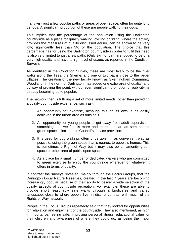many visit just a few popular paths or areas of open space, often for quite long periods. A significant proportion of these are people walking their dogs.

This implies that the percentage of the population using the Darlington countryside as a place for quality walking, cycling or riding, where the activity provides the measures of quality discussed earlier, can be shown to be very low; significantly less than 5% of the population. The choice that this percentage has for using the Darlington countryside in order to fulfil this need is also very limited to just a few paths (Only 9km of path are judged to be of a very high quality and have a high level of usage, as reported in the Condition Survey).

As identified in the Condition Survey, these are most likely to be the river walks along the Tees, the Skerne, and one or two paths close to the larger villages. The creation of the new facility known as Skerningham Community Woodland, in the north of Darlington, has added one extra area of quality, and by way of proving the point, without even significant promotion or publicity, is already becoming quite popular.

The network then is fulfilling a set of more limited needs, other than providing a quality countryside experience, such as-:

- 1. An opportunity for exercise, although this on its own is as easily achieved in the urban area as outside it.
- 2. An opportunity for young people to get away from adult supervision; something that we find is more and more popular, as semi-natural green space is included in Council's service provision.
- 3. It is used for dog walking, often undertaken in as convenient way as possible, using the green space that is nearest to people's homes. This is sometimes a Right of Way but it may also be an amenity green space or other area of public open space.
- 4. As a place for a small number of dedicated walkers who are committed to green exercise to enjoy the countryside wherever or whatever it offers in terms of quality.

In contrast the surveys revealed, mainly through the Focus Groups, that the Darlington Local Nature Reserves, created in the last 7 years are becoming increasingly popular because of their ability to deliver a wide selection of the quality aspects of countryside recreation. For example, these are able to provide short reasonably safe walks through a biodiverse and varied landscape, close to where people live, in distinct contrast with much of the Rights of Way network.

People in the Focus Groups repeatedly said that they looked for opportunities for relaxation and enjoyment of the countryside. They also mentioned, as high in importance, feeling safe, improving personal fitness, educational value for their children and awareness of where they could go, as being the major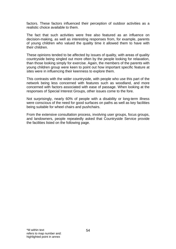factors. These factors influenced their perception of outdoor activities as a realistic choice available to them.

The fact that such activities were free also featured as an influence on decision-making, as well as interesting responses from, for example, parents of young children who valued the quality time it allowed them to have with their children.

These opinions tended to be affected by issues of quality, with areas of quality countryside being singled out more often by the people looking for relaxation, than those looking simply for exercise. Again, the members of the parents with young children group were keen to point out how important specific feature at sites were in influencing their keenness to explore them.

This contrasts with the wider countryside, with people who use this part of the network being less concerned with features such as woodland, and more concerned with factors associated with ease of passage. When looking at the responses of Special Interest Groups, other issues come to the fore.

Not surprisingly, nearly 60% of people with a disability or long-term illness were conscious of the need for good surfaces on paths as well as key facilities being suitable for wheel chairs and pushchairs.

From the extensive consultation process, involving user groups, focus groups, and landowners, people repeatedly asked that Countryside Service provide the facilities listed on the following page.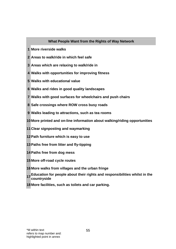## **What People Want from the Rights of Way Network**

- **1 More riverside walks**
- **2 Areas to walk/ride in which feel safe**
- **3 Areas which are relaxing to walk/ride in**
- **4 Walks with opportunities for improving fitness**
- **5 Walks with educational value**
- **6 Walks and rides in good quality landscapes**
- **7 Walks with good surfaces for wheelchairs and push chairs**
- **8 Safe crossings where ROW cross busy roads**
- **9 Walks leading to attractions, such as tea rooms**
- **10 More printed and on-line information about walking/riding opportunities**
- **11 Clear signposting and waymarking**
- **12 Path furniture which is easy to use**
- **13 Paths free from litter and fly-tipping**
- **14 Paths free from dog mess**
- **15 More off-road cycle routes**
- **16 More walks from villages and the urban fringe**
- **17 Education for people about their rights and responsibilities whilst in the countryside**
- **18 More facilities, such as toilets and car parking.**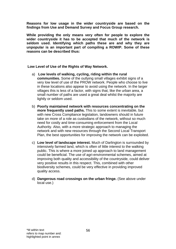**Reasons for low usage in the wider countryside are based on the findings from Use and Demand Survey and Focus Group research.** 

**While providing the only means very often for people to explore the wider countryside it has to be accepted that much of the network is seldom used. Identifying which paths these are and why they are unpopular is an important part of compiling a ROWIP. Some of these reasons can be described thus:** 

 **Low Level of Use of the Rights of Way Network.** 

- a) **Low levels of walking, cycling, riding within the rural communities.** Some of the outlying small villages exhibit signs of a very low level of use of the PROW network. People who choose to live in these locations also appear to avoid using the network. In the larger villages this is less of a factor, with signs that, like the urban area, a small number of paths are used a great deal whilst the majority are lightly or seldom used.
- b) **Poorly maintained network with resources concentrating on the more frequently used paths.** This to some extent is inevitable, but with new Cross Compliance legislation, landowners should in future take on more of a role as custodians of the network, without so much need for costly and time-consuming enforcement from the Local Authority. Also, with a more strategic approach to managing the network and with new resources through the Second Local Transport Plan, the best opportunities for improving the network can be exploited.
- c) **Low level of landscape interest.** Much of Darlington is surrounded by intensively farmed land, which is often of little interest to the walking public. This is where a more joined up approach to land management could be beneficial. The use of agri-environmental schemes, aimed at improving both quality and accessibility of the countryside, could deliver very positive results in this respect. This, combined with other biodiversity schemes, could be very effective in providing improved quality access.
- d) **Dangerous road crossings on the urban fringe.** (See above under local use.)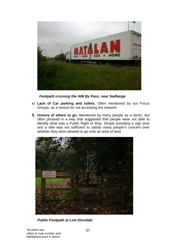

*Footpath crossing the A66 By Pass, near Sadberge* 

- e) **Lack of Car parking and toilets.** Often mentioned by our Focus Groups, as a reason for not accessing the network
- **f) Unsure of where to go.** Mentioned by many people as a factor, but often phrased in a way that suggested that people were not able to identify what was a Public Right of Way. Simply providing a sign post and a stile was not sufficient to satisfy many people's concern over whether they were allowed to go onto an area of land.



 *Public Footpath at Low Dinsdale.*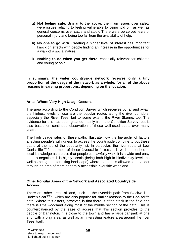- g) **Not feeling safe**. Similar to the above; the main issues over safety were issues relating to feeling vulnerable to being told off, as well as general concerns over cattle and stock. There were perceived fears of personal injury and being too far from the availability of help.
- **h) No one to go with.** Creating a higher level of interest has important knock on effects with people finding an increase in the opportunities for a walk of a social nature.
- i) **Nothing to do when you get there**, especially relevant for children and young people.

**In summary: the wider countryside network receives only a tiny proportion of the usage of the network as a whole, for all of the above reasons in varying proportions, depending on the location.** 

## **Areas Where Very High Usage Occurs.**

The area according to the Condition Survey which receives by far and away, the highest levels of use are the popular routes along the river corridors, especially the River Tees, but to some extent, the River Skerne, too. The evidence for this has been gleaned mainly from the Condition Survey, but is also based on continued observation of these well-used paths over many years.

The high usage rates of these paths illustrate how the hierarchy of factors affecting people's willingness to access the countryside combine to put these paths at the top of the popularity list. In particular, the river route at Low Coniscliffe\*M8:1 has most of these favourable factors. It is well entrenched in local knowledge as a place that people can lawfully walk, it is a wide and easy path to negotiate, it is highly scenic (being both high in biodiversity levels as well as being an interesting landscape) where the path is allowed to meander through an area of more generally accessible riverside woodland.

#### **Other Popular Areas of the Network and Associated Countryside Access.**

There are other areas of land, such as the riverside path from Blackwell to Broken Scar\*M8:3, which are also popular for similar reasons to the Coniscliffe path. Where this differs, however, is that there is often stock in the field and there is little woodland along most of the middle section of the path. This is counterbalanced by the ease of access that this section provides to the people of Darlington. It is close to the town and has a large car park at one end, with a play area, as well as an interesting feature area around the river Tees itself.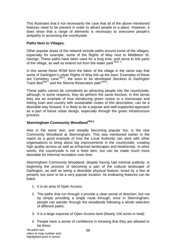This illustrates that it not necessarily the case that all of the above mentioned features need to be present in order to attract people to a place. However, it does show that a range of elements is necessary to overcome people's antipathy to accessing the countryside.

## **Paths Next to Villages.**

Other popular areas of the network include paths around some of the villages, especially for example, some of the Rights of Way next to Middleton St. George. These paths have been used for a long time, and serve to link parts of the village, as well as extend out from the water park\*M10:3.

In this sense these ROW form the fabric of the village in the same way that some of Darlington's urban Rights of Way link up the town. Examples of these are Cemetery Lane<sup>\*M6:3</sup>, the soon to be developed Stockton to Darlington Track Bed\*M6:7 and the Skerne Restoration path\*M6:4.

These paths cannot be considered as attracting people into the countryside, although, in some respects, they do perform the same function. In this sense they are an example of how introducing green routes to a townscape and linking town and country with sustainable routes of this description, can be a desirable way forward. It is likely to be a popular and well-supported approach as a part of future urban design, especially through the green infrastructure process.

## **Skerningham Community Woodland\*M3:2**

Also in the same vein, and steadily becoming popular too, is the new Community Woodland at Skerningham. This was mentioned earlier in the report as a good example of how the Local Authority can work with other organisations to bring about big improvements in the countryside, creating high quality access as well as enhanced landscapes and biodiversity. In other words, the countryside is not a fixed item, but can be made much more desirable for informal recreation over time.

Skerningham Community Woodland, despite having had minimal publicity, is beginning the process of becoming a part of the cultural landscape of Darlington, as well as being a desirable physical feature, loved by a few at present, but soon to be a very popular location. Its endearing features can be listed.

- 1. It is an area of Open Access.
- 2. The paths that run through it provide a clear sense of direction, but not by simply providing a single route through; once in Skerningham, people can wander through the woodlands following a whole selection of different paths.
- 3. It is a large expanse of Open Access land (Nearly 100 acres in total)
- 4. People have a sense of confidence in knowing that they are allowed to be there.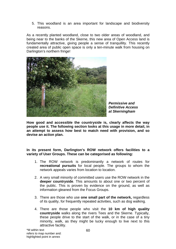5. This woodland is an area important for landscape and biodiversity reasons.

As a recently planted woodland, close to two older areas of woodland, and being near to the banks of the Skerne, this new area of Open Access land is fundamentally attractive, giving people a sense of tranquillity. This recently created area of public open space is only a ten-minute walk from housing on Darlington's northern fringe!



*Permissive and Definitive Access at Skerningham*

**How good and accessible the countryside is, clearly affects the way people use it. The following section looks at this usage in more detail, in an attempt to assess how best to match need with provision, and so devise an action plan.** 

**In its present form, Darlington's ROW network offers facilities to a variety of User Groups. These can be categorised as following:** 

- 1. The ROW network is predominantly a network of routes for **recreational pursuits** for local people. The groups to whom the network appeals varies from location to location.
- 2. A very small minority of committed users use the ROW network in the **deeper countryside**. This amounts to about one or two percent of the public. This is proven by evidence on the ground, as well as information gleaned from the Focus Groups.
- 3. There are those who use **one small part of the network,** regardless of its quality, for frequently repeated activities, such as dog walking.
- 4. There are those people who visit the **10 km of high quality countryside** walks along the rivers Tees and the Skerne. Typically, these people drive to the start of the walk, or in the case of a tiny minority, walk, as they might be lucky enough to live next to this attractive facility.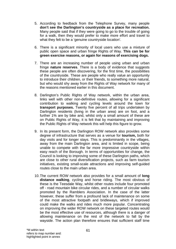- 5. According to feedback from the Telephone Survey, many people **don't see the Darlington's countryside as a place for recreation.** Many people said that if they were going to go to the trouble of going for a walk, then they would prefer to make more effort and travel to what they felt to be a 'genuine countryside location'.
- 6. There is a significant minority of local users who use a mixture of public open space and urban fringe Rights of Way. **This can be for green exercise reasons, or again for reasons of exercising dogs.**
- 7. There are an increasing number of people using urban and urban fringe **nature reserves**. There is a body of evidence that suggests these people are often discovering, for the first time, the possibilities of the countryside. These are people who really value an opportunity to introduce their children, or their friends, to something more natural, but who would shy away from the Rights of Way network for many of the reasons mentioned earlier in this document.
- 8. Darlington's Public Rights of Way network, within the urban area, links well with other non-definitive routes, allowing for a significant contribution to walking and cycling levels around the town for **transport purposes.** Twenty five percent of all trips undertaken by Darlington residents (living in the urban area) are on foot, and a further 1% are by bike and, whilst only a small amount of these are on Public Rights of Way, it is felt that by maintaining and improving the Public Rights of Way network this will help this figure to grow.
- 9. In its present form, the Darlington ROW network also provides some degree of infrastructure that serves as a venue for **tourism,** both for day visits and for longer stays. This is predominantly in the villages, away from the main Darlington area, and is limited in scope, being unable to compete with the far more impressive countryside within easy reach of the Borough. In terms of opportunities for change, the Council is looking to improving some of these Darlington paths, which are close to other rural diversification projects, such as farm tourism initiatives, existing small-scale attractions and improving self-guided routes close to the main urban area.
- 10. The current ROW network also provides for a small amount of **long distance walking**, cycling and horse riding. The most obvious of these is the Teesdale Way, whilst other routes include four promoted off - road mountain bike circular rides, and a number of circular walks promoted by the Ramblers Association. In the case of the latter however, these suffer from a profound lack of maintenance on some of the most attractive footpath and bridleways, which if improved could make the walks and rides much more popular. Concentrating on improving the wider ROW network on these targeted routes would be the most effective use of resources, although there is a danger of allowing maintenance on the rest of the network to fall by the wayside. The action plan therefore ensures that sufficient staff time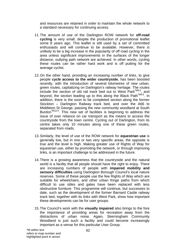and resources are retained in order to maintain the whole network to a standard necessary for continuing access.

- 11. The amount of use of the Darlington ROW network for **off-road cycling** is very small, despite the production of promotional leaflet some 8 years ago. This leaflet is still used by a set of committed enthusiasts and will continue to be available. However, there is unlikely to be a big increase in the popularity of off road cycling in the area unless significant improvements in the surfaces of the longer distance, outlying path network are achieved. In other words, cycling these routes can be rather hard work and is off putting for the average cyclist.
- 12. On the other hand, providing an increasing number of links, to give people **cycle access to the wider countryside**, has been boosted recently, with the introduction of several kilometres of new urban, green routes, capitalizing on Darlington's railway heritage. The routes include the section of old rail track bed out to West Park\*M6:5, and beyond, the section leading up to this along the Black Path<sup>\*M6:6</sup>. In addition, there is the soon to be completed section along the former Stockton – Darlington Railway track bed, and over the A66 to Middleton St George, passing the new community woodland at South Burdon<sup>\*M10:4</sup>. This new set of facilities is beginning to address the issue of over reliance on car transport as the means to access the countryside from the town centre. Cycling out of Darlington, from its centre takes only 10 minutes along one of these green routes, separated from roads.
- 13. Similarly, the level of use of the ROW network for **equestrian use** is generally low, but in one or two very specific areas, the opposite is true and the level is high. Making greater use of Rights of Way for equestrian use, either by promoting the network, or through improving links, is an important challenge to be addressed in the future.
- 14. There is a growing awareness that the countryside and the natural world is a facility that all people should have the right to enjoy. There are increasing numbers of people with **impaired mobility and sensory difficulties** using Darlington Borough Council's local nature reserves. Some of these people use the few Rights of Way which are suitable for wheelchairs, and other urban fringe paths from which difficult to use stiles and gates have been replaced with less obstructive furniture. This programme will continue, but successes to date, such as the development of the former Barnard Castle railway track bed, together with its links with West Park, show how important these developments can be for user groups.
- 15. The Council's work with the **visually impaired** also brings to the fore the importance of providing areas for recreation away from the distractions of urban noise. Again, Skerningham Community Woodland is just such a facility and could become increasingly important as a venue for this particular User Group.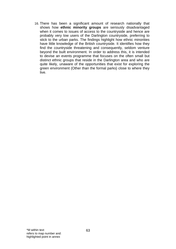16. There has been a significant amount of research nationally that shows how **ethnic minority groups** are seriously disadvantaged when it comes to issues of access to the countryside and hence are probably very low users of the Darlington countryside, preferring to stick to the urban parks. The findings highlight how ethnic minorities have little knowledge of the British countryside. It identifies how they find the countryside threatening and consequently, seldom venture beyond the built environment. In order to address this, it is intended to devise an events programme that focuses on the often small but distinct ethnic groups that reside in the Darlington area and who are quite likely, unaware of the opportunities that exist for exploring the green environment (Other than the formal parks) close to where they live.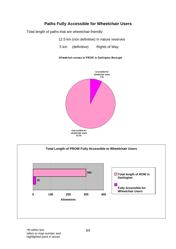# **Paths Fully Accessible for Wheelchair Users**

Total length of paths that are wheelchair-friendly:

12.5 km (non definitive) In nature reserves

5 km (definitive) Rights of Way.

Wheelchair access to PROW in Darlington Borough



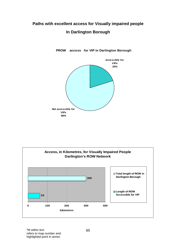# **Paths with excellent access for Visually impaired people In Darlington Borough**



**PROW access for VIP in Darlington Borough**

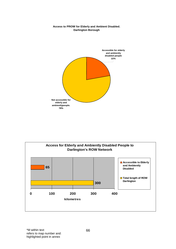#### **Access to PROW for Elderly and Ambient Disabled. Darlington Borough**



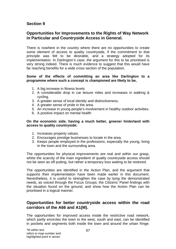# **Section 9**

# **Opportunities for Improvements to the Rights of Way Network in Particular and Countryside Access in General.**

There is nowhere in the country where there are no opportunities to create some element of access to quality countryside, if the commitment to that principle was felt to be desirable, and a strategy adopted for its implementation. In Darlington's case, the argument for this to be prioritised is very strong indeed. There is much evidence to suggest that this would have far reaching benefits for a wide cross section of the population.

### **Some of the effects of committing an area like Darlington to a programme where such a concept is championed are likely to be,**

- 1. A big increase in fitness levels
- 2. A considerable drop in car leisure miles and increases in walking & cycling.
- 3. A greater sense of local identity and distinctiveness.
- 4. A greater sense of pride in the area.
- 5. An increase in young people's involvement in healthy outdoor activities.
- 6. A positive impact on mental health

#### **On the economic side, having a much better, greener hinterland with access to quality countryside:**

- 1. Increases property values.
- 2. Encourages prestige businesses to locate in the area.
- 3. Keeps people employed in the professions, especially the young, living in the town and the surrounding area.

The opportunities for physical improvements are real and within our grasp, whilst the scarcity of the main ingredient of quality countryside access should not be seen as off putting, but rather a temporary loss waiting to be restored.

The opportunities are identified in the Action Plan, and the argument that supports their implementation have been made earlier in this document. Nevertheless, it is useful to strengthen the case by tying the demonstrated needs, as voiced through the Focus Groups; the Citizens' Panel findings with the situation found on the ground, and show how the Action Plan can be prioritised in a logical manner.

# **Opportunities for better countryside access within the road corridors of the A66 and A1(M).**

The opportunities for improved access inside the restrictive road network, which partly encircles the town to the west, south and east, can be identified in pockets and segments both inside the town and around the urban fringe.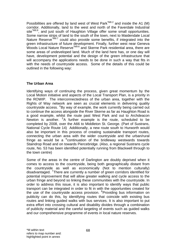Possibilities are offered by land west of West Park<sup>\*M6:2</sup> and inside the A1 (M) corridor. Additionally, land to the west and north of the Faverdale Industrial site<sup>\*M6:8</sup>, and just south of Haughton Village offer some small opportunities. Some narrow strips of land to the south of the town, next to Maidendale Local Nature Reserve<sup>\*M9:7</sup> could also provide some benefits, if integrated into the green infrastructure of future development. Finally, further west near Geneva Woods Local Nature Reserve<sup>\*M9:6</sup> and Skerne Park residential area, there are some areas of undeveloped land. Much of the land here has, or one day will have, development potential and the design of the green infrastructure that will accompany the applications needs to be done in such a way that fits in with the needs of countryside access. Some of the details of this could be outlined in the following way:

# **The Urban Area**

Identifying ways of continuing the process, given great momentum by the Local Motion initiative and aspects of the Local Transport Plan, is a priority in the ROWIP. The interconnectedness of the urban area, together with the Rights of Way network are seen as crucial elements in delivering quality countryside access. <sup>4</sup>By way of example, the work currently being carried out to continue the access alongside the River Skerne as far as Haughton Road is a good example, whilst the route past West Park and out to Archdeacon Newton is another. <sup>5</sup>A further example is the route, scheduled to be completed by 2008, over the A66 to Middleton St. George. (Part of Sustrans, National Cycle Route 14) Additionally, a new route south to Hurworth would also be important in this process of creating sustainable transport routes, connecting the urban area with the wider countryside and the urban/rural fringe as would be a  $6$  continuation of the bridleway westwards towards Staindrop Road and on towards Piercebridge. (Also, a regional Sustrans cycle route, No. 53 has been identified potentially running from Blackwell through to the town centre)

Some of the areas in the centre of Darlington are doubly deprived when it comes to access to the countryside, being both geographically distant from the countryside as well as economically (Not to mention culturally) disadvantaged. <sup>7</sup>There are currently a number of green corridors identified for potential improvement that will allow greater walking and cycle access to the urban fringe and beyond so linking these communities with the countryside. In order to address this issue, it is also important to identify ways that public transport can be integrated in order to fit in with the opportunities created for the use of the countryside access provision. <sup>8</sup> Providing bus information on publicity can do this, by identifying routes that coincide with existing bus routes and linking guided walks with bus services. It is also important to put extra effort into crossing cultural and disability divides through a combination of publicity material and the careful targeting of events such as guided walks and our comprehensive programme of events in local nature reserves.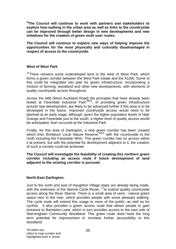**9 The Council will continue to work with partners and stakeholders to explore how walking in the urban area as well as links to the countryside can be improved through better design in new developments and new initiatives for the creation of green multi user routes.** 

**The Council will continue to explore new ways of helping improve the opportunities for the most physically and culturally disadvantaged in respect of access to the countryside.** 

#### **West of West Park**

 $10$ There remains some undeveloped land to the west of West Park, which forms a green corridor between the West Park estate and the A1(M). Some of this could be integrated into plan for green infrastructure, incorporating a mixture of farming, woodland and other new developments, with elements of quality countryside access throughout.

Across the A68 (West Auckland Road) the principles that have already been tested at Faverdale Industrial Park<sup>\*M6:8</sup>, of providing green infrastructure around new development, are likely to be advanced further if this area is to be developed in the future. Improved countryside access would need to be planned at an early stage; although, given the higher population levels of High Grange and Faverdale just to the south, a higher level of quality access would be anticipated, than occurred at the Industrial Park.

Finally, for this area of Darlington, a new green corridor has been created which links Brinkburn Local Nature Reserve<sup>\*M6:6</sup> with the countryside to the north including the Faverdale Whin. This green corridor has no access within it at present, but with the potential for development adjacent to it, the creation of such a corridor could be achieved.

#### **The Council will investigate the feasibility of creating this northern green corridor including an access route if future development of land adjacent to the existing corridor is pursued.**

#### **North-East Darlington.**

Just to the north and east of Haughton Village steps are already being made, with the extension of the Skerne Cycle Route,  $11$  to extend quality countryside access along the River Skerne. There is a small area of semi - natural green space next to the river, which provides people with some pleasant walking. The cycle route will extend this usage to more of the public, as well as for cyclists. It also provides a green access route that allows people to gain entrance to Barmpton Lane, which in turn provides access to the east side of Skerningham Community Woodland. This green route does have the long term potential for improvement to increase further accessibility to this woodland.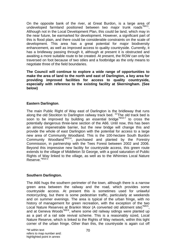On the opposite bank of the river, at Great Burdon, is a large area of undeveloped farmland positioned between two major trunk roads<sup>\*M4:1</sup>. Although not in the Local Development Plan, this could be land, which may in the near future, be earmarked for development. However, a significant part of this is flood plain, and there could be considerable constraints on the scale of development. This area has a great potential for major biodiversity enhancement, as well as improved access to quality countryside. Currently, it has a bridleway passing through it, although at present it is obstructed and awaiting a more suitable route to be created. At present, the ROW can only be traversed on foot because of two stiles and a footbridge as the only means to negotiate three of the field boundaries.

**The Council will continue to explore a wide range of opportunities to make the area of land to the north and east of Darlington, a key area for providing improved facilities for access to quality countryside, especially with reference to the existing facility at Skerningham. (See below)** 

## **Eastern Darlington**.

The main Public Right of Way east of Darlington is the bridleway that runs along the old Stockton to Darlington railway track bed.  $12$ The old track bed is soon to be improved by building an essential bridge<sup> $M10.7$ </sup> to cross the potentially dangerous three-lane section of the A66. Until now, this has been an almost impenetrable barrier, but the new bridge will change this and provide the whole of east Darlington with the potential for access to a large new area of Community Woodland. This is the 100-hectare South Burdon Community Woodland\*M10:4, purchased and planted by the Forestry Commission, in partnership with the Tees Forest between 2002 and 2006. Beyond this impressive new facility for countryside access, this green route extends to the village of Middleton St George, with a good saturation of Public Rights of Way linked to the village, as well as to the Whinnies Local Nature Reserve.\*M10:2

## **Southern Darlington.**

The A66 hugs the southern perimeter of the town, although there is a narrow green area between the railway and the road, which provides some countryside access. At present this is sometimes used for unlawful motorcycling, but there is some pedestrian traffic, particularly at weekends and on summer evenings. The area is typical of the urban fringe, with no history of management for green recreation, with the exception of the two Local Nature Reserves at Brankin Moor (A converted old allotment site)<sup>\*M9:5</sup>, and at Geneva Woods<sup>\*M9:6</sup>, where some old railway sidings were planted up as a part of a rail side revival scheme. This is a reasonably sized, Local Nature Reserve, which is linked to the Rights of Way network, within this tight corner of the urban fringe. Other than this, the countryside is again cut off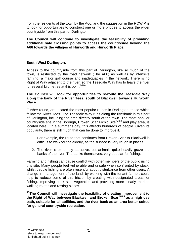from the residents of the town by the A66, and the suggestion in the ROWIP is to look for opportunities to construct one or more bridges to access the wider countryside from this part of Darlington.

**The Council will continue to investigate the feasibility of providing additional safe crossing points to access the countryside beyond the A66 towards the villages of Hurworth and Hurworth Place.** 

## **South West Darlington.**

Access to the countryside from this part of Darlington, like so much of the town, is restricted by the road network (The A66) as well as by intensive farming, a major golf course and inadequacies in the network. There is no Right of Way adjacent to the river, so the Teesdale Way has to leave the river for several kilometres at this point M8:4.

#### **The Council will look for opportunities to re-route the Teesdale Way along the bank of the River Tees, south of Blackwell towards Hurworth Place.**

Further round, are located the most popular routes in Darlington; those which follow the River Tees. The Teesdale Way runs along the riverbank in this part of Darlington, including the area directly south of the town. The most popular countryside site in the Borough, Broken Scar Picnic Site<sup>\*M8:2</sup> and play area, is located here. On a summer's day, this attracts hundreds of people. Given its popularity, there is still much that can be done to improve it.

- 1. For example, the route that continues from Broken Scar to Blackwell is difficult to walk for the elderly, as the surface is very rough in places.
- 2. The river is extremely attractive, but animals quite heavily graze the banks of the river. The banks themselves, very popular for fishing.

Farming and fishing can cause conflict with other members of the public using this site. Many people feel vulnerable and unsafe when confronted by stock, whilst people fishing are often resentful about disturbance from other users. A change in management of the land, by working with the tenant farmer, could help to reduce some of this friction by creating with designated areas for fishing, improving bank side vegetation and providing more clearly marked walking routes and resting places.

**13The Council will investigate the feasibility of creating improvement to the Right of Way between Blackwell and Broken Scar\*M8:3 as a high use path, suitable for all abilities, and the river bank as an area better suited for general countryside recreation.**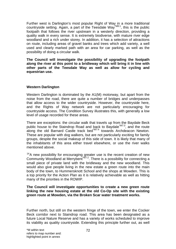Further west is Darlington's most popular Right of Way in a more traditional countryside setting. Again, a part of the Teesdale Way\*M8:1, this is the public footpath that follows the river upstream in a westerly direction, providing a quality walk in every sense. It is extremely biodiverse, with mature river edge woodland and a rich under storey. In addition, it has a selection of attractions on route, including areas of gravel banks and trees which add variety, a well used and clearly marked path with an area for car parking, as well as the possibility of doing a circular walk.

**The Council will investigate the possibility of upgrading the footpath along the river at this point to a bridleway which will bring it in line with other parts of the Teesdale Way as well as allow for cycling and equestrian use.** 

## **Western Darlington**

Western Darlington is dominated by the A1(M) motorway, but apart from the noise from the road, there are quite a number of bridges and underpasses that allow access to the wider countryside. However, the countryside here, and the Rights of Way network are not particularly encouraging for countryside access. The Condition Survey illustrates this, with generally a low level of usage recorded for these areas.

There are exceptions: the circular walk that travels up from the Baydale Beck public house to the Staindrop Road and back to Baydale<sup>\*M7:3</sup>, and the route along the old Barnard Castle track bed\*M7:4 towards Archdeacon Newton. These are popular with dog walkers, but are not particularly exciting for family groups, despite the social makeup of this side of town. It is likely that many of the inhabitants of this area either travel elsewhere, or use the river walks mentioned above.

 $14A$  new possibility for encouraging greater use is the recent creation of new Community Woodland at Merrybent<sup>\*M7:2</sup>. There is a possibility for connecting a small piece of private land with the bridleway and the new woodland. This would also give people living in the new estate a green route into the main body of the town, to Hummersknott School and the shops at Mowden. This is a top priority for the Action Plan as it is relatively achievable as well as hitting many of the priorities in the ROWIP.

#### **The Council will investigate opportunities to create a new green route linking the new housing estate at the old Co-Op site with the existing green route at Mowden, via the Broken Scar water treatment works.**

Further north, but still on the western fringe of the town, we enter the Cocker Beck corridor next to Staindrop road. This area has been designated as a future Local Nature Reserve and has a variety of works scheduled to improve its viability as quality countryside. Extending this principle further out, as well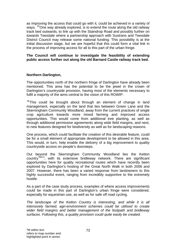as improving the access that could go with it, could be achieved in a variety of ways. <sup>15</sup>One way already explored, is to extend the route along the old railway track bed outwards, to link up with the Staindrop Road and possibly further on towards Teesdale where a partnership approach with Sustrans and Teesdale District Council may release some national funding. This possibility is at the initial discussion stage, but we are hopeful that this could form a vital link in the process of improving access for all to this part of the urban fringe.

#### **The Council will continue to investigate the feasibility of extending public access further out along the old Barnard Castle railway track bed.**

# **Northern Darlington,**

The opportunities north of the northern fringe of Darlington have already been mentioned. This area has the potential to be the jewel in the crown of Darlington's countryside provision, having most of the elements necessary to fulfil a majority of the aims central to the vision of this ROWIP.

 $16$ This could be brought about through an element of change in land management, especially on the land that lies between Green Lane and the Skerningham Community Woodland, away from the current practices of single crop agriculture towards more mixed farming and improved access opportunities. This would come from additional tree planting, as well as through additional permissive agreements along wide field margins, and next, to new features designed for biodiversity as well as for landscaping reasons.

One process, which could facilitate the creation of this desirable feature, could be for a small element of appropriate development to be allowed in this area. This would, in turn, help enable the delivery of a big improvement to quality countryside access on people's doorsteps.

Out beyond the Skerningham Community Woodland lies the Ketton country\*M3:3, with its extensive bridleway network. There are significant opportunities here for quality recreational routes which have recently been explored by Darlington's hosting of the Great North Walk in both 2006 and 2007. However, there has been a varied response from landowners to this highly successful event, ranging from incredibly supportive to the extremely hostile.

As a part of the case study process, examples of where access improvements could be made in this part of Darlington's urban fringe were considered, especially for equestrian use, as well as for safe off road cycling.

*The landscape of the Ketton Country is interesting, and while it is all intensively farmed, agri-environment schemes could be utilised to create wider field margins and better management of the footpath and bridleway surfaces. Following this, a quality provision could quite easily be created.*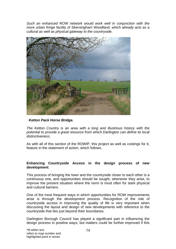*Such an enhanced ROW network would work well in conjunction with the more urban fringe facility of Skerningham Woodland, which already acts as a cultural as well as physical gateway to the countryside.* 



## *Ketton Pack Horse Bridge.*

*The Ketton Country is an area with a long and illustrious history with the potential to provide a great resource from which Darlington can define its local distinctiveness.* 

As with all of this section of the ROWIP, this project as well as costings for it, feature in the statement of action, which follows.

#### **Enhancing Countryside Access in the design process of new development**.

This process of bringing the town and the countryside closer to each other is a continuous one, and opportunities should be sought, whenever they arise, to improve the present situation where the norm is most often for stark physical and cultural barriers.

One of the most frequent ways in which opportunities for ROW improvements arise is through the development process. Recognition of the role of countryside access in improving the quality of life is very important when discussing the layout and design of new developments with reference to the countryside that lies just beyond their boundaries.

Darlington Borough Council has played a significant part in influencing the design process in positive ways, but matters could be further improved if this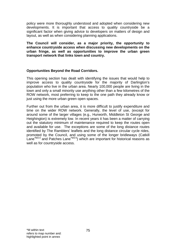policy were more thoroughly understood and adopted when considering new developments. It is important that access to quality countryside be a significant factor when giving advice to developers on matters of design and layout, as well as when considering planning applications.

**The Council will consider, as a major priority, the opportunity to enhance countryside access when discussing new developments on the urban fringe, as well as opportunities to improve the urban green transport network that links town and country.** 

## **Opportunities Beyond the Road Corridors.**

This opening section has dealt with identifying the issues that would help to improve access to quality countryside for the majority of Darlington's population who live in the urban area. Nearly 100,000 people are living in the town and only a small minority use anything other than a few kilometres of the ROW network, most preferring to keep to the one path they already know or just using the more urban green open spaces.

Further out from the urban area, it is more difficult to justify expenditure and time on the wider ROW network. Generally, the level of use, (except for around some of the larger villages (e.g., Hurworth, Middleton St George and Heighington) is extremely low. In recent years it has been a matter of carrying out the statutory minimum of maintenance required to keep the routes open and available for use. The exceptions are some of the long distance routes identified by The Ramblers' leaflets and the long distance circular cycle rides, promoted by the Council, and using some of the longer bridleways (Catkill Lane<sup>\*M3:4</sup> and Patches Lane<sup>\*M3:5</sup>) which are important for historical reasons as well as for countryside access.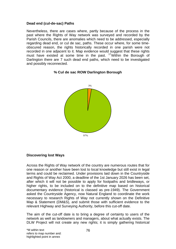## **Dead end (cul-de-sac) Paths**

Nevertheless, there are cases where, partly because of the process in the past where the Rights of Way network was surveyed and recorded by the Parish Councils, there are anomalies which need to be addressed, especially regarding dead end, or cul de sac, paths. These occur where, for some timeobscured reason, the rights historically recorded in one parish were not recorded in one adjacent to it. Map evidence would suggest that these rights must have existed at some time in the past. <sup>17</sup>Within the Borough of Darlington there are 7 such dead end paths, which need to be investigated and possibly reconnected.

## **% Cul de sac ROW Darlington Borough**



# **Discovering lost Ways**

Across the Rights of Way network of the country are numerous routes that for one reason or another have been lost to local knowledge but still exist in legal terms and could be reclaimed. Under provisions laid down in the Countryside and Rights of Way Act 2000, a deadline of the 1st January 2026 has been set, after which it will not be possible to apply for footpaths and bridleways, or higher rights, to be included on to the definitive map based on historical documentary evidence (historical is classed as pre-1949). The Government asked the Countryside Agency, now Natural England to coordinate the work necessary to research Rights of Way not currently shown on the Definitive Map & Statement (DM&S), and submit those with sufficient evidence to the relevant Highway and Surveying Authority, before this cut-off date.

The aim of the cut-off date is to bring a degree of certainty to users of the network as well as landowners and managers, about what actually exists. The DLW Project will not create any new rights; it is simply gathering historical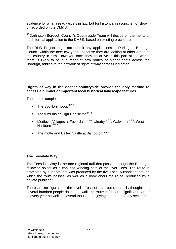evidence for what already exists in law, but for historical reasons, is not shown or recorded on the DM&S.

<sup>18</sup>Darlington Borough Council's Countryside Team will decide on the merits of each formal application to the DM&S, based on existing procedures.

The DLW Project might not submit any applications to Darlington Borough Council within the next few years, because they are looking at other areas of the country in turn. However, once they do arrive in this part of the world, there is likely to be a number of new routes or higher rights across the Borough, adding to the network of rights of way across Darlington..

## **Rights of way in the deeper countryside provide the only method to access a number of important local historical landscape features.**

The main examples are:

- $\blacksquare$  The Sockburn Loop\*M9:8.
- The tumulus at High Coniscliffe<sup>\*M7:5</sup>,
- Medieval Villages at Faverdale<sup>\*M3:6</sup>, Ulnaby<sup>\*M7:6</sup>, Walworth<sup>\*M5:3</sup>, West Hartburn<sup>\*M10:6</sup>.
- The motte and Bailey Castle at Bishopton<sup>\*M5:4</sup>.

# **The Teesdale Way**

The Teesdale Way is the one regional trail that passes through the Borough, following so far as it can, the winding path of the river Tees. The route is promoted by a leaflet that was produced by the five Local Authorities through which the route passes, as well as a book about the route, produced by a private publisher.

There are no figures on the level of use of this route, but it is thought that several hundred people do indeed walk the route in full, or a significant part of it, every year as well as several thousand enjoying a number of key sections.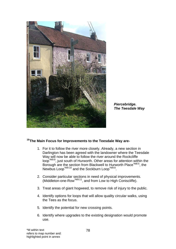

*Piercebridge. The Teesdale Way* 

# **19The Main Focus for Improvements to the Teesdale Way are-**

- 1. For it to follow the river more closely. Already, a new section in Darlington has been agreed with the landowner where the Teesdale Way will now be able to follow the river around the Rockcliffe loop\*M9:9, just south of Hurworth. Other areas for attention within the Borough are the section from Blackwell to Hurworth Place<sup>\*M8:5</sup>, the Newbus Loop<sup>\*M9:10</sup> and the Sockburn Loop<sup>\*M9:8</sup>.
- 2. Consider particular sections in need of physical improvements. (Middleton-one-Row<sup>\*M9:11</sup>, and from Low to High Coniscliffe).
- 3. Treat areas of giant hogweed, to remove risk of injury to the public.
- 4. Identify options for loops that will allow quality circular walks, using the Tees as the focus.
- 5. Identify the potential for new crossing points.
- 6. Identify where upgrades to the existing designation would promote use.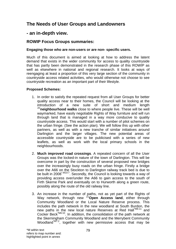# **The Needs of User Groups and Landowners**

# **- an in-depth view.**

# **ROWIP Focus Groups summaries:**

# **Engaging those who are non-users or are non- specific users.**

Much of this document is aimed at looking at how to address the latent demand that exists in the wider community for access to quality countryside that has partly been demonstrated in the research phase of this ROWIP as well as elsewhere in national and regional research. It looks at ways of reengaging at least a proportion of this very large section of the community in countryside access related activities, who would otherwise not choose to see countryside recreation as an important part of their lifestyle.

# **Proposed Schemes:**

- 1. In order to satisfy the repeated request from all User Groups for better quality access near to their homes, the Council will be looking at the introduction of a new suite of short and medium length <sup>20</sup>**neighbourhood walks** close to where people live. These will be well waymarked, have easily negotiable Rights of Way furniture and will run through land that is managed in a way more conducive to quality countryside access. This would start with a number of pilot schemes on the urban fringe. (See the action plan). We will follow this up with other partners, as well as with a new tranche of similar initiatives around Darlington and the larger villages. The new potential areas of accessible countryside are to be publicised with a series of new leaflets, as well as work with the local primary schools in the neighbourhoods.
- 2. **Much improved road crossings**. A repeated concern of all the User Groups was the locked-in nature of the town of Darlington. This will be overcome in part by the construction of several proposed new bridges over the increasingly busy roads on the urban fringe. Firstly a bridge over the A66 on the Stockton to Darlington railway track bed is due to be built in 2008<sup>\*M10:7</sup>. Secondly, the Council is looking towards a way of providing access over/under the A66 to gain access to the south of Firth Skerne Park and eventually on to Hurworth along a green route, possibly along the route of the old railway line.
- 3. An increase in the number of paths, not as yet part of the Rights of Way network, through new <sup>21</sup> Open Access land, either through Community Woodland or the Local Nature Reserve process. This includes the path network in the new woodland at South Burdon, the new paths in the new local nature Reserves at Red Hall<sup>\*M6:11</sup> and Cocker Beck\*M6:10. In addition, the consolidation of the path network at the Skerningham Community Woodland and the Merrybent Community Woodland\*M7:2, together with new permissive access that may be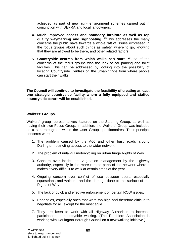achieved as part of new agri- environment schemes carried out in conjunction with DEFRA and local landowners.

- **4. Much improved access and boundary furniture as well as top quality waymarking and signposting.** <sup>22</sup>This addresses the many concerns the public have towards a whole raft of issues expressed in the focus groups about such things as safety, where to go, knowing that they are allowed to be there, and other related factors.
- 5. **Countryside centres from which walks can start. <sup>23</sup>**One of the concerns of the focus groups was the lack of car parking and toilet facilities. This can be addressed by looking into the possibility of locating Countryside Centres on the urban fringe from where people can start their walks.

**The Council will continue to investigate the feasibility of creating at least one strategic countryside facility where a fully equipped and staffed countryside centre will be established.** 

## **Walkers' Groups.**

Walkers' group representatives featured on the Steering Group, as well as having their own Focus Group. In addition, the Walkers' Group was included as a separate group within the User Group questionnaires. Their principal concerns were

- 1. The problem caused by the A66 and other busy roads around Darlington restricting access to the wider network.
- 2. The problem of unlawful motorcycling on urban fringe Rights of Way.
- 3. Concern over inadequate vegetation management by the highway authority, especially in the more remote parts of the network where it makes it very difficult to walk at certain times of the year.
- 4. Ongoing concern over conflict of use between users, especially equestrians and walkers, and the damage done to the surface of the Rights of Way.
- 5. The lack of quick and effective enforcement on certain ROW issues.
- 6. Poor stiles, especially ones that were too high and therefore difficult to negotiate for all, except for the most agile.
- 7. They are keen to work with all Highway Authorities to increase participation in countryside walking. (The Ramblers Association is working with Darlington Borough Council on a new walking initiative.)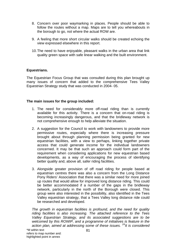- 8. Concern over poor waymarking in places. People should be able to follow the routes without a map. Maps are to tell you whereabouts in the borough to go, not where the actual ROW are.
- 9. A feeling that more short circular walks should be created echoing the view expressed elsewhere in this report.
- 10. The need to have enjoyable, pleasant walks in the urban area that link quality green space with safe linear walking and the built environment.

#### **Equestrians.**

The Equestrian Focus Group that was consulted during this plan brought up many issues of concern that added to the comprehensive Tees Valley Equestrian Strategy study that was conducted in 2004- 05.

#### **The main issues for the group included:**

- 1. The need for considerably more off-road riding than is currently available for this activity. There is a concern that on-road riding is becoming increasingly dangerous, and that the bridleway network is not comprehensive enough to help alleviate the situation.
- 2. A suggestion for the Council to work with landowners to provide more permissive routes, especially where there is increasing pressure brought about through planning permission being granted for new equestrian facilities, with a view to perhaps, linking together private access that could generate income for the individual landowners concerned. It may be that such an approach could form part of the requirement when considering applications for new equestrian based developments, as a way of encouraging the process of identifying better quality and, above all, safer riding facilities.
- 3. Alongside greater provision of off road riding for people based at equestrian centres there was also a concern from the Long Distance Pony Riders' Association that there was a similar need for more joined up routes that would allow for improved long distance riding. This could be better accommodated if a number of the gaps in the bridleway network, particularly in the north of the Borough were closed. This group were also interested in the possibility, also identified in the Tees Valley equestrian strategy, that a Tees Valley long distance ride could be researched and developed.

*The growth in equestrian facilities is profound, and the need for quality riding facilities is also increasing. The attached reference to the Tees Valley Equestrian Strategy, and its associated suggestions are to be welcomed by this ROWIP, and a programme of initiatives is feature in the action plan, aimed at addressing some of these issues. 24It is considered*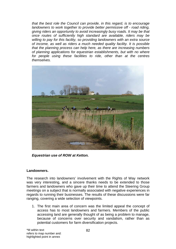*that the best role the Council can provide, in this regard, is to encourage landowners to work together to provide better permissive off - road riding, giving riders an opportunity to avoid increasingly busy roads. It may be that once routes of sufficiently high standard are available, riders may be willing to pay for this facility, so providing landowners with an extra source of income, as well as riders a much needed quality facility. It is possible that the planning process can help here, as there are increasing numbers of planning applications for equestrian establishments, but with no where for people using these facilities to ride, other than at the centres themselves.* 



*Equestrian use of ROW at Ketton.*

#### **Landowners.**

The research into landowners' involvement with the Rights of Way network was very interesting, and a sincere thanks needs to be extended to those farmers and landowners who gave up their time to attend the Steering Group meetings on a subject that is normally associated with negative experiences in regards to running their businesses. The results of these discussions were far ranging, covering a wide selection of viewpoints.

1. The first main area of concern was the limited appeal the concept of access has to most landowners and farmers. Members of the public accessing land are generally thought of as being a problem to manage, because of concerns over security and vandalism, rather than as potential customers for farm diversification projects.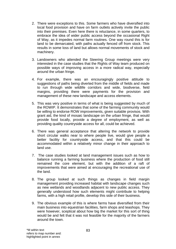- 2. There were exceptions to this. Some farmers who have diversified into local food provision and have on farm outlets actively invite the public into their premises. Even here there is reluctance, in some quarters, to embrace the idea of wider public access beyond the occasional Right of Way, as it impedes normal farm routines. One way round this is for land to be demarcated, with paths actually fenced off from stock. This results in some loss of land but allows normal movements of stock and machinery.
- 3. Landowners who attended the Steering Group meetings were very interested in the case studies that the Rights of Way team produced on possible ways of improving access in a more radical way, especially around the urban fringe.
- 4. For example, there was an encouragingly positive attitude to suggestions of paths being diverted from the middle of fields and made to run through wide wildlife corridors and wide, biodiverse, field margins, providing there were payments for the provision and management of these new landscape and access elements.
- 5. This was very positive in terms of what is being suggested by much of the ROWIP. It demonstrates that some of the farming community would be willing to endorse ROW improvements, given suitable provisos. With grant aid, the kind of mosaic landscape on the urban fringe, that would provide food locally, provide a degree of employment, as well as providing quality countryside access for all, could be achieved.
- 6. There was general acceptance that altering the network to provide short circular walks near to where people live, would give people a better facility for countryside access, and that this could be accommodated within a relatively minor change in their approach to land use.
- 7. The case studies looked at land management issues such as how to balance running a farming business where the production of food still remained the core element, but with the addition of a raft of improvements that were aimed at encouraging the recreational use of the land.
- 8. The group looked at such things as changes in field margin management providing increased habitat with landscape changes such as new wetlands and woodlands adjacent to new public access. They generally understood how such elements might contribute to helping farms, with a high retail profile, develop this side of their business.
- 9. The obvious example of this is where farms have diversified from their main business into equestrian facilities, farm shops and teashops. They were however, sceptical about how big the market for this sort of thing would be and felt that it was not feasible for the majority of the farmers around the town.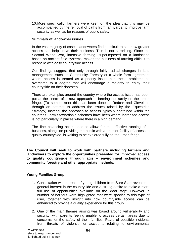10. More specifically, farmers were keen on the idea that this may be accompanied by the removal of paths from farmyards, to improve farm security as well as for reasons of public safety.

#### **Summary of landowner issues.**

In the vast majority of cases, landowners find it difficult to see how greater access can help serve their business. This is not surprising. Since the Second World War, intensive farming, superimposed on a landscape based on ancient field systems, makes the business of farming difficult to reconcile with easy countryside access.

Our findings suggest that only through fairly radical changes in land management, such as Community Forestry or a whole farm agreement where access is treated as a priority issue, can these problems be overcome to a degree that will encourage a majority to enjoy their countryside on their doorstep.

There are examples around the country where the access issue has been put at the centre of a new approach to farming but rarely on the urban fringe. (To some extent this has been done at Redcar and Cleveland through an attempt to address the issues raised by the Equestrian Strategy) Instead, the approach to access typically contained within the countries Farm Stewardship schemes have been where increased access is not particularly in places where there is a high demand.

The fine balancing act needed to allow for the effective running of a business, alongside providing the public with a premier facility of access to quality countryside, is waiting to be explored fully on the urban fringe.

**The Council will seek to work with partners including farmers and landowners to explore the opportunities presented for improved access to quality countryside through agri – environment schemes and community forestry and other appropriate methods.** 

#### **Young Families Group**

- 1. Consultation with parents of young children from Sure Start revealed a general interest in the countryside and a strong desire to make a more full use of opportunities available on the 'door step'. However, a number of barriers were highlighted that were specific to this type of user, together with insight into how countryside access can be enhanced to provide a quality experience for this group.
- 2. One of the main themes arising was based around vulnerability and security, with parents feeling unable to access certain areas due to concerns for the safety of their families. Fears of possible incidents from threats of violence, or accidents relating to environmental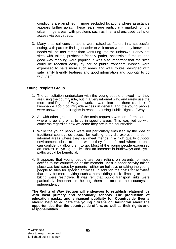conditions are amplified in more secluded locations where assistance appears further away. These fears were particularly marked for the urban fringe areas, with problems such as litter and enclosed paths or access via busy roads.

3. Many practical considerations were raised as factors in a successful outing, with parents finding it easier to visit areas where they know their needs will be met rather than venturing into the unknown. Honey pot sites with toilets, pushchair friendly paths, accessible furniture and good way marking were popular. It was also important that the sites could be reached easily by car or public transport. Wishes were expressed to have more such areas and walk routes, designed with safe family friendly features and good information and publicity to go with them.

# **Young People's Group**

- 1. The consultation undertaken with the young people showed that they are using the countryside, but in a very informal way, and rarely use the more rural Rights of Way network. It was clear that there is a lack of knowledge about countryside access in general and the young people were unaware of their rights in respect to using Public Rights of Way.
- 2. As with other groups, one of the main requests was for information on where to go and what to do in specific areas. This was tied up with concerns regarding how welcome they are in the countryside.
- 3. While the young people were not particularly enthused by the idea of traditional countryside access for walking, they did express interest in informal areas where they can meet friends in a high quality outdoor environment, close to home where they feel safe and where parents can confidently allow them to go. Most of the young people expressed an interest in cycling and felt that an increase in bridleways and cycle paths would be beneficial.
- 4. It appears that young people are very reliant on parents for most access to the countryside at the moment. Most outdoor activity taking place was facilitated by parents - either on holidays or taking the young people to sites for specific activities. In addition the costs for activities that may be more inviting such a horse riding, rock climbing or quad biking were restrictive. It was felt that public transport links were particularly important in helping them to access the countryside independently.

**The Rights of Way Section will endeavour to establish relationships with local primary and secondary schools. The production of education packs, and enhanced publicity for Countryside Events should help to educate the young citizens of Darlington about the opportunities that the countryside offers, as well as their rights and responsibilities.**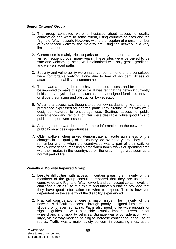## **Senior Citizens' Group**

- 1. The group consulted were enthusiastic about access to quality countryside and were to some extent, using countryside sites and the Rights of Way network. However, with the exception of a small number of experienced walkers, the majority are using the network in a very limited manner.
- 2. Current use is mainly trips to parks or honey pot sites that have been visited frequently over many years. These sites were perceived to be safe and welcoming, being well maintained with only gentle gradients and well-surfaced paths.
- 3. Security and vulnerability were major concerns; none of the consultees were comfortable walking alone due to fear of accident, illness or attack, and an inability to summon help.
- 4. There was a strong desire to have increased access and for routes to be improved to make this possible. It was felt that the network currently holds many physical barriers such as poorly designed furniture, uneven or slippery surfacing and obstruction by vegetation.
- 5. Wider rural access was thought to be somewhat daunting, with a strong preference expressed for shorter, particularly circular routes with welldesigned features to encourage use. Seating, access to public conveniences and removal of litter were desirable, while good links to public transport were essential.
- 6. A strong theme was the need for more information on the network and publicity on access opportunities.
- 7. Older walkers when asked demonstrate an acute awareness of the changes in the quality of the countryside over the years. They often remember a time when the countryside was a part of their daily or weekly experience, recalling a time when family walks or spending time with their mates in the countryside on the urban fringe was seen as a normal part of life.

#### **Visually & Mobility Impaired Group**

- 1. Despite difficulties with access in certain areas, the majority of the members of the group consulted reported that they are using the countryside and Rights of Way network and can accept certain levels of challenge such as use of furniture and uneven surfacing provided that they have good information on what to expect. This is however, dependent on the severity of the disability experienced.
- 2. Practical considerations were a major issue. The majority of the network is difficult to access, through poorly designed furniture and slippery or uneven surfacing. Paths also need to be wide enough for sighted guides to walk alongside visually impaired users or for wheelchairs and mobility vehicles. Signage was a consideration, with large, visible way-marking helping to increase confidence in the use of routes. Traffic was a major safety concern in accessing sites; users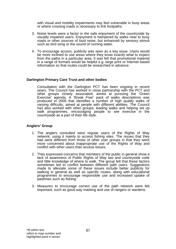with visual and mobility impairments may feel vulnerable in busy areas or where crossing roads is necessary to link footpaths.

- 3. Noise levels were a factor in the safe enjoyment of the countryside by visually impaired users. Enjoyment is hampered by walks near to busy roads or other sources of loud noise, but enhanced by sensory stimuli such as bird song or the sound of running water.
- 4. To encourage access, publicity was seen as a key issue. Users would be more inclined to use areas where they know exactly what to expect from the paths in a particular area. It was felt that promotional material in a range of formats would be helpful e.g. large print or Internet based information so that routes could be researched in advance.

#### **Darlington Primary Care Trust and other bodies**

Consultation with the Darlington PCT has been ongoing in recent years. The Council has worked in close partnership with the PCT and other groups closely associated, aimed at pursuing the 'Green Exercise' agenda. A 'Break Free' pack of walks descriptions was produced in 2005 that identifies a number of high quality walks of varying difficulty, aimed at people with different abilities. The Council has also worked with other groups; leading walks and helping set up walk programmes, encouraging people to see exercise in the countryside as a part of their life style.

#### **Anglers' Group**

- 1. The anglers consulted were regular users of the Rights of Way network, using it mainly to access fishing sites. The issues that they had were different from those of other user groups in that they were more concerned about inappropriate use of the Rights of Way and conflict with other users than access issues.
- 2. They expressed concerns that members of the public in general show a lack of awareness of Public Rights of Way law and countryside code and little knowledge of where to walk. The group felt that these factors sometimes led to conflict between different path users. Suggestions made to alleviate some of these issues include better publicity for walking in general as well as specific routes, along with educational programmes to encourage responsible use and increased uptake of pastimes such as fishing.
- 3. Measures to encourage correct use of the path network were felt important, such as good way marking and use of rangers or wardens.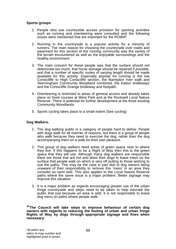#### **Sports groups**

- 1. People who use countryside access provision for sporting activities such as running and orienteering were consulted and the following issues were mentioned that are important for the ROWIP.
- 2. Running in the countryside is a popular activity for a minority of runners. The main reason for choosing the countryside over roads and pavement for this section of the running community was the variety of the terrain encountered as well as the enjoyable surroundings and the healthy environment.
- 3. The main concern for these people was that the surface should not deteriorate too much, that horse damage should be repaired if possible, and that a number of specific routes of varying length should be made available for this activity. Especially popular for running is the low Coniscliffe to High Coniscliffe section, the Barmpton river walk and Skerningham Community Woodland combined, the Ketton bridleways and the Coniscliffe Grange bridleway and footpath.
- 4. Orienteering is restricted to areas of general access and already takes place on fixed courses at West Park and at the Rockwell Local Nature Reserve. There is potential for further development at the three existing Community Woodlands.
- 5. Sports cycling takes place to a small extent (See cycling)

#### **Dog Walkers.**

- 1. The dog walking public is a category of people hard to define. People with dogs walk for all manner of reasons, but there is a group of people who walk because they need to exercise the dog, rather than the dog accompanying them on a walk for their own pleasure.
- 2. This group of dog walkers need areas of green space near to where they live. If this happens to be a Right of Way then this is the green space that they will use. Although many dog walkers are responsible there are those that are not and allow their dogs to leave mess on the surface that people walk on which is very off putting to those wishing to use the paths. This may be the case in part due to dog owners being unaware of their responsibility to remove this 'mess' in an area they consider as semi wild. This also applies to the Local Nature Reserve paths where the same issue is a major problem. Better signage may improve this situation.
- 3. It is a major problem as regards encouraging greater use of the urban fringe countryside and steps need to be taken to help educate the public that just because an area is wild, it is not responsible to leave dog mess on paths where people walk.

**25The Council will take steps to improve behaviour of certain dog owners with regards to reducing the fouling of urban and urban fringe Rights of Way by dogs through appropriate signage and fines when necessary.**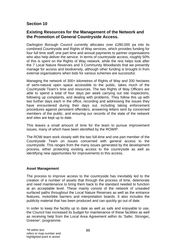# **Section 10**

# **Existing Resources for the Management of the Network and the Promotion of General Countryside Access.**

Darlington Borough Council currently allocates over £280,000 pa into its combined Countryside and Rights of Way services, which provides funding for four full time staff, one part time and annual payments to partner organisations who also help deliver the service. In terms of countryside access, roughly 50% of this is spent on the Rights of Way network, while the rest helps look after the 7 Local Nature Reserves and 3 Community Woodlands that we presently manage for access and biodiversity, although other funding is brought in from external organisations when bids for various schemes are successful.

Managing the network of 300+ kilometres of Rights of Way and 200 hectares of semi-natural open space accessible to the public, takes much of the Countryside Team's time and resources. The two Rights of Way Officers are able to spend a total of four days per week carrying out site inspections, following up complaints, and dealing with problems. They follow this up with two further days each in the office, recording and addressing the issues they have encountered during their days out, including taking enforcement procedures against persistent offenders, answering letters sent by concerned members of the public, and ensuring our records of the state of the network and sites are kept up to date.

This leaves a small amount of time for the team to pursue improvement issues, many of which have been identified by the ROWIP.

The ROW team work closely with the two full-time and one part member of the Countryside Team on issues concerned with general access to the countryside. This ranges from the many issues generated by the development process, either protecting existing access to the countryside as well as identifying new opportunities for improvements to this access.

#### **Asset Management**

The process to improve access to the countryside has inevitably led to the creation of a number of assets that through the process of time, deteriorate and need maintenance to bring them back to the standard needed to function at an acceptable level. These mainly consist of the network of unsealed surfaced paths throughout the Local Nature Reserves as well as the entrance features, motorbike barriers and interpretation boards. It also includes the publicity material that has been produced and can quickly go out of date.

In order to keep the facility up to date as well as safe and enjoyable to use, the Council has increased its budget for maintenance of these facilities as well as receiving help from the Local Area Agreement within its 'Safer, Stronger**,**  Greener', programme.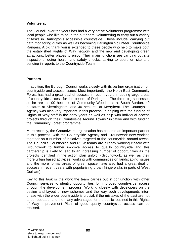# **Volunteers.**

The Council, over the years has had a very active Volunteers programme with local people who like to be in the out doors, volunteering to carry out a variety of tasks in Darlington's accessible countryside. These include, carrying out path monitoring duties as well as becoming Darlington Volunteer Countryside Rangers. A big thank you is extended to these people who help to make both the established Rights of Way network and the new and developing green attractions, better places to enjoy. Their main functions are carrying out site inspections, doing health and safety checks, talking to users on site and sending in reports to the Countryside Team.

# **Partners**

In addition, the Borough Council works closely with its partner organisation on countryside and access issues. Most importantly, the North East Community Forest has had a great deal of success in recent years in adding large areas of countryside access for the people of Darlington. The three big successes so far are the 90 hectares of Community Woodlands at South Burdon, 40 hectares at Skerningham, and 40 hectares at Merrybent. The Countryside Agency was also very important in this process, in helping with the funding of Rights of Way staff in the early years as well as help with individual access projects through their 'Countryside Around Towns ' initiative and with funding the Community Forest programme.

More recently, the Groundwork organisation has become an important partner in this process, with the Countryside Agency and Groundwork now working together on a number of initiatives targeted at the countryside around towns. The Council's Countryside and ROW teams are already working closely with Groundwork to further improve access to quality countryside and this partnership is likely to lead to an increasing number of opportunities as the projects identified in the action plan unfold. (Groundwork, as well as their more urban based activities, working with communities on landscaping issues and the more formal areas of green space have also had a great deal of success in recent years with popularising urban fringe walks in parts of West Durham)

Key to this task is the work the team carries out in conjunction with other Council services to identify opportunities for improved countryside access through the development process. Working closely with developers on the design and layout of new schemes and the way such developments interphase with the wider countryside is crucial, if the mistakes of the past are not to be repeated, and the many advantages for the public, outlined in this Rights of Way Improvement Plan, of good quality countryside access can be realised.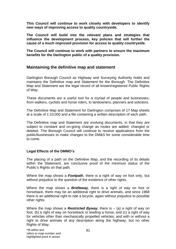**This Council will continue to work closely with developers to identify new ways of improving access to quality countryside.** 

**The Council will build into the relevant plans and strategies that influence the development process, key policies that will further the cause of a much improved provision for access to quality countryside.**

**The Council will continue to work with partners to ensure the maximum benefits for the Darlington public of a quality provision.** 

# **Maintaining the definitive map and statement**

Darlington Borough Council as Highway and Surveying Authority holds and maintains the Definitive map and Statement for the Borough. The Definitive Map and Statement are the legal record of all known/registered Public Rights of Way.

These documents are a useful tool for a myriad of people and businesses, from walkers, cyclists and horse riders, to landowners, planners and solicitors.

The Definitive Map and Statement for Darlington comprises of 17 Map sheets at a scale of 1:10,000 and a file containing a written description of each path.

The Definitive map and Statement are evolving documents, in that they are subject to constant and on-going change as routes are added, changed or deleted. The Borough Council will continue to receive applications from the public/businesses to make changes to the DM&S for some considerable time to come.

# **Legal Effects of the DMMO's**

The placing of a path on the Definitive Map, and the recording of its details within the Statement, are conclusive proof of the minimum status of the Public's Rights on that path.

Where the map shows a *Footpath*, there is a right of way on foot only, but without prejudice to the question of the existence of other rights.

Where the map shows a *Bridleway*, there is a right of way on foot or horseback, there may be an additional right to drive animals, and since 1968 there is an additional right to ride a bicycle, again without prejudice to possible other rights.

Where the map shows a *Restricted Byway*, there is – (a) a right of way on foot, (b) a right of way on horseback or leading a horse, and (c) a right of way for vehicles other than mechanically propelled vehicles; and with or without a right to drive animals of any description along the highway, but no other Rights of Way.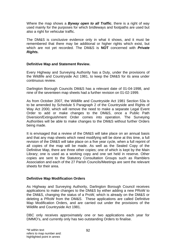Where the map shows a *Byway open to all Traffic*, there is a right of way used mainly for the purposes for which bridleways and footpaths are used but also a right for vehicular traffic.

The DM&S is conclusive evidence only in what it shows, and it must be remembered that there may be additional or higher rights which exist, but which are not yet recorded. The DM&S is **NOT** concerned with *Private Rights.* 

## **Definitive Map and Statement Review.**

Every Highway and Surveying Authority has a Duty, under the provisions of the Wildlife and Countryside Act 1981, to keep the DM&S for its area under continuous review.

Darlington Borough Councils DM&S has a relevant date of 01-04-1998, and nine of the seventeen map sheets had a further revision on 01-02-1999.

As from October 2007, the Wildlife and Countryside Act 1981 Section 53a is to be amended by Schedule 5 Paragraph 2 of the Countryside and Rights of Way Act 2000, which will remove the need to make a separate Legal Event Order to add or make changes to the DM&S, once a Public Path Diversion/Extinguishment Order comes into operation. The Surveying Authorities will be able to make changes to the DM&S without further Orders being made.

It is envisaged that a review of the DM&S will take place on an annual basis and that any map sheets which need modifying will be done at this time, a full revision of the DM&S will take place on a five year cycle, when a full reprint of all copies of the map will be made. As well as the Sealed Copy of the Definitive Map, there are three other copies; one of which is kept by the Main Library; one is used as a working copy and one set held in reserve. Other copies are sent to the Statutory Consultation Groups such as Ramblers Association and each of the 27 Parish Councils/Meetings are sent the relevant sheets for their area.

#### **Definitive Map Modification Orders**

As Highway and Surveying Authority, Darlington Borough Council receives applications to make changes to the DM&S by either adding a new PRoW to the DM&S, changing the status of a ProW, which is already on the DM&S or deleting a PRoW from the DM&S. These applications are called Definitive Map Modification Orders, and are carried out under the provisions of the Wildlife and Countryside Act 1981.

DBC only receives approximately one or two applications each year for DMMO's, and currently only has two outstanding Orders to finalise.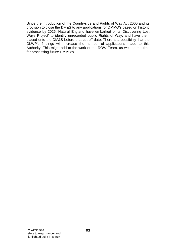Since the introduction of the Countryside and Rights of Way Act 2000 and its provision to close the DM&S to any applications for DMMO's based on historic evidence by 2026, Natural England have embarked on a 'Discovering Lost Ways Project' to identify unrecorded public Rights of Way, and have them placed onto the DM&S before that cut-off date. There is a possibility that the DLWP's findings will increase the number of applications made to this Authority. This might add to the work of the ROW Team, as well as the time for processing future DMMO's.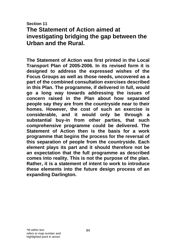**Section 11** 

# **The Statement of Action aimed at investigating bridging the gap between the Urban and the Rural.**

**The Statement of Action was first printed in the Local Transport Plan of 2005-2006. In its revised form it is designed to address the expressed wishes of the Focus Groups as well as those needs, uncovered as a part of the combined consultation exercises described in this Plan. The programme, if delivered in full, would go a long way towards addressing the issues of concern raised in the Plan about how separated people say they are from the countryside near to their homes. However, the cost of such an exercise is considerable, and it would only be through a substantial buy-in from other parties, that such comprehensive programme could be delivered. The Statement of Action then is the basis for a work programme that begins the process for the reversal of this separation of people from the countryside. Each element plays its part and it should therefore not be an expectation that the full programme as described comes into reality. This is not the purpose of the plan. Rather, it is a statement of intent to work to introduce these elements into the future design process of an expanding Darlington.**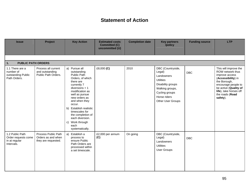# **Statement of Action**

| <b>Issue</b>                                                          | Project                                                          | <b>Key Action</b>                                                                                                                                                                                                                                                                                                                     | <b>Estimated costs</b><br><b>Committed (C)</b><br>uncommitted (U) | <b>Completion date</b> | <b>Key partners</b><br>/policy                                                                                                                               | <b>Funding source</b> | <b>LTP</b>                                                                                                                                                                                                 |
|-----------------------------------------------------------------------|------------------------------------------------------------------|---------------------------------------------------------------------------------------------------------------------------------------------------------------------------------------------------------------------------------------------------------------------------------------------------------------------------------------|-------------------------------------------------------------------|------------------------|--------------------------------------------------------------------------------------------------------------------------------------------------------------|-----------------------|------------------------------------------------------------------------------------------------------------------------------------------------------------------------------------------------------------|
|                                                                       |                                                                  |                                                                                                                                                                                                                                                                                                                                       |                                                                   |                        |                                                                                                                                                              |                       |                                                                                                                                                                                                            |
| $\overline{1}$ .<br><b>PUBLIC PATH ORDERS</b>                         |                                                                  |                                                                                                                                                                                                                                                                                                                                       |                                                                   |                        |                                                                                                                                                              |                       |                                                                                                                                                                                                            |
| 1.1 There are a<br>number of<br>outstanding Public<br>Path Orders.    | Process all current<br>and outstanding<br>Public Path Orders.    | a) Pursue all<br>outstanding<br>Public Path<br>Orders, of which<br>there are<br>currently 7<br>$diversions + 1$<br>modification as<br>well as pursue<br>new orders as<br>and when they<br>occur.<br>b) Establish realistic<br>timescales for<br>the completion of<br>each diversion.<br>Work through<br>C)<br>each<br>systematically. | £8,000 (C)                                                        | 2010                   | DBC (Countryside,<br>Legal)<br>Landowners<br><b>Utilities</b><br>Disability groups<br>Walking groups,<br>Cycling groups<br>Horse riders<br>Other User Groups | <b>DBC</b>            | This will improve the<br>ROW network thus<br>improve access<br>(Accessibility) in<br>the Borough,<br>encourage people to<br>be active (Quality of<br>life), take horses off<br>the roads (Road<br>safety). |
| 1.2 Public Path<br>Order requests come<br>in at regular<br>Intervals. | Process Public Path<br>Orders as and when<br>they are requested. | a) Establish a<br>process to<br>ensure Public<br>Path Orders are<br>processed within<br>a set timescale.                                                                                                                                                                                                                              | £2,000 per annum<br>(C)                                           | On going               | DBC (Countryside,<br>Legal)<br>Landowners<br><b>Utilities</b><br><b>User Groups</b>                                                                          | <b>DBC</b>            |                                                                                                                                                                                                            |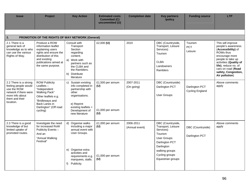| <b>Issue</b>                                                                                                                            | <b>Project</b>                                                                                                                                                          | <b>Key Action</b>                                                                                                                                                               | <b>Estimated costs</b><br><b>Committed (C)</b><br>uncommitted (U) | <b>Completion date</b>      | <b>Key partners</b><br>/policy                                                                                                                                                        | <b>Funding source</b>                    | <b>LTP</b>                                                                                                                                                                                                                         |  |  |  |  |
|-----------------------------------------------------------------------------------------------------------------------------------------|-------------------------------------------------------------------------------------------------------------------------------------------------------------------------|---------------------------------------------------------------------------------------------------------------------------------------------------------------------------------|-------------------------------------------------------------------|-----------------------------|---------------------------------------------------------------------------------------------------------------------------------------------------------------------------------------|------------------------------------------|------------------------------------------------------------------------------------------------------------------------------------------------------------------------------------------------------------------------------------|--|--|--|--|
|                                                                                                                                         |                                                                                                                                                                         |                                                                                                                                                                                 |                                                                   |                             |                                                                                                                                                                                       |                                          |                                                                                                                                                                                                                                    |  |  |  |  |
| 2.                                                                                                                                      | PROMOTION OF THE RIGHTS OF WAY NETWORK (General)                                                                                                                        |                                                                                                                                                                                 |                                                                   |                             |                                                                                                                                                                                       |                                          |                                                                                                                                                                                                                                    |  |  |  |  |
| 2.1 There is a<br>general lack of<br>knowledge as to who<br>can use the various<br>Rights of Way.                                       | Produce a ROW<br>information leaflet<br>explaining users<br>rights and ensure the<br>distribution of this<br>and existing<br>publications aimed at<br>the same purpose. | Consult with<br>Transport<br>Section<br>regarding<br>content.<br>Work with<br>a)<br>partners such as<br>the CLBA and<br>the Ramblers.<br>Distribute<br>b)<br>literature         | £2,000 $(U)$                                                      | 2010                        | DBC (Countryside,<br>Transport, Leisure<br>Services)<br><b>Tourism</b><br><b>CLBA</b><br>Landowners<br>Ramblers                                                                       | Tourism<br><b>PCT</b><br>Leisure         | This will improve<br>people's awareness<br>(Accessibility) of<br>ROWs thus<br>encourage more<br>people to take up<br>activities (Quality of<br>life), reduce no. of<br>cars on road (Road<br>safety, Congestion,<br>Air pollution) |  |  |  |  |
| 2.2 There is a strong<br>feeling people would<br>use the ROW<br>network if there were<br>more info about<br>them and their<br>location. | <b>ROW Publicity</b><br>Leaflets $-$<br>"Independent<br>Walking Pack"<br>Other leaflets e.g.<br>"Bridleways and<br>Back Lanes in<br>Darlington" (Off road<br>cycling)   | Sustain existing<br>C)<br>info completed in<br>partnership with<br>other<br>organisations.<br>e) Reprint<br>existing leaflets +<br>Development of<br>new literature             | £1,500 per annum<br>(U)<br>£1,000 per annum<br>(U)                | 2007-2011<br>(On going)     | DBC (Countryside)<br>Darlington PCT<br><b>User Groups</b>                                                                                                                             | Darlington PCT<br><b>Cycling England</b> | Above comments<br>apply                                                                                                                                                                                                            |  |  |  |  |
| 2.3 There is a good<br>knowledge of but<br>limited uptake of<br>promoted routes.                                                        | Investigate the need<br>for increased RoW<br>Publicity Events-<br>And an<br>"Annual Walking<br>Festival"                                                                | d) Organise walks<br>including a major<br>annual event with<br>User Groups.<br>e) Organise extra<br>activities and<br>requirements e.g.<br>marquees, stalls.<br>Publicity.<br>f | £1,000 per annum<br>(U)<br>£1,000 per annum<br>(U)                | 2006-2011<br>(Annual event) | DBC (Countryside,<br>Transport, Leisure<br>Services)<br><b>Tourism</b><br><b>User Groups</b><br>Darlington PCT<br>Darlington<br>walking groups<br>Cycling groups<br>Equestrian groups | DBC (Countryside)<br>Darlington PCT      | Above comments<br>apply                                                                                                                                                                                                            |  |  |  |  |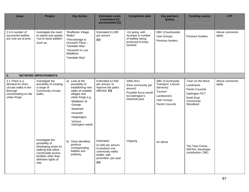| <b>Issue</b>                                                                                                    | Project                                                                                                                                                         | <b>Key Action</b>                                                                                                                                                                                             | <b>Estimated costs</b><br><b>Committed (C)</b><br>uncommitted (U)                                                  | <b>Completion date</b>                                                                                   | <b>Key partners</b><br>/policy                                                                                         | <b>Funding source</b>                                                                                     | <b>LTP</b>               |
|-----------------------------------------------------------------------------------------------------------------|-----------------------------------------------------------------------------------------------------------------------------------------------------------------|---------------------------------------------------------------------------------------------------------------------------------------------------------------------------------------------------------------|--------------------------------------------------------------------------------------------------------------------|----------------------------------------------------------------------------------------------------------|------------------------------------------------------------------------------------------------------------------------|-----------------------------------------------------------------------------------------------------------|--------------------------|
| 2.4 A number of<br>successful leaflets<br>are now out of print                                                  | Investigate the need<br>to reprint and update<br>"out of stock leaflets"<br>Such as,                                                                            | "Brafferton Village<br>Walks"<br>"Piercebridge to<br>Hurworth Place -<br>Teesdale Way"<br>"Hurworth to Low<br>Middleton<br>Teesdale Way"                                                                      | Estimated £1,000<br>per annum<br>(U)                                                                               | On going, with<br>increase in number<br>of leaflets being<br>produced to keep<br>stocked.                | DBC (Countryside)<br><b>User Groups</b><br>Previous funders                                                            | Previous funders                                                                                          | Above comments<br>apply. |
| 3.                                                                                                              | <b>NETWORK IMPROVEMENTS</b>                                                                                                                                     |                                                                                                                                                                                                               |                                                                                                                    |                                                                                                          |                                                                                                                        |                                                                                                           |                          |
| 3.1 There is a<br>demand for short<br>circular walks in the<br>Borough<br>concentrating on the<br>urban fringe. | Investigate the<br>possibility of creating<br>a range of<br>Community circular<br>walks                                                                         | a) Look at the<br>possibility of<br>establishing new<br>walks at suitable<br>villages and<br>urban fringe e.g.<br>Middleton St<br>George<br>Neasham<br>Hurworth<br>Heighington<br>Various<br>Darlington wards | Estimated £2,500<br>per annum, to<br>improve the paths<br>affected. (U)                                            | 2006-2011<br>(One community per<br>annum)<br>Possible focus would<br>be Darlington's<br>industrial past. | DBC (Countryside,<br>Transport, Leisure<br>Services)<br>Tourism<br>Landowners<br><b>User Groups</b><br>Parish Councils | Town on the Move<br>Landowner<br>Parish Councils<br>Darlington PCT<br>North East<br>Community<br>Woodland | Above comments<br>apply  |
|                                                                                                                 | Investigate the<br>possibility of<br>developing areas for<br>walking that utilise<br>countryside access<br>facilities other than<br>definitive rights of<br>way | b) Once identified,<br>produce<br>corresponding<br>leaflets and<br>publicity.                                                                                                                                 | Estimated<br>£1,000 per annum,<br>to produce one<br>community walks<br>leaflet, with<br>promotion, per year<br>(U) | Ongoing                                                                                                  | As above                                                                                                               | The Tees Forest,<br>DEFRA, Developer<br>contribution, DBC.                                                |                          |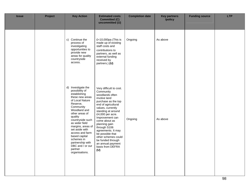| <b>Issue</b> | Project | <b>Key Action</b>                                                                                                                                                                                                                                                                                                                                                    | <b>Estimated costs</b><br><b>Committed (C)</b><br>uncommitted (U)                                                                                                                                                                                                                                                                                                                               | <b>Completion date</b> | <b>Key partners</b><br>/policy | <b>Funding source</b> | <b>LTP</b> |
|--------------|---------|----------------------------------------------------------------------------------------------------------------------------------------------------------------------------------------------------------------------------------------------------------------------------------------------------------------------------------------------------------------------|-------------------------------------------------------------------------------------------------------------------------------------------------------------------------------------------------------------------------------------------------------------------------------------------------------------------------------------------------------------------------------------------------|------------------------|--------------------------------|-----------------------|------------|
|              |         | c) Continue the<br>process of<br>investigating<br>opportunities to<br>provide new<br>areas for quality<br>countryside<br>access.                                                                                                                                                                                                                                     | £<10,000pa (This is<br>made up of existing<br>staff costs and<br>contributions to<br>partners, as well as<br>external funding<br>received by<br>partners.) (U)                                                                                                                                                                                                                                  | Ongoing                | As above                       |                       |            |
|              |         | d) Investigate the<br>possibility of<br>establishing<br>these new areas<br>of Local Nature<br>Reserve,<br>Community<br>Woodland and<br>other areas of<br>quality<br>countryside such<br>as wider field<br>margins, areas of<br>set aside with<br>access and farm<br>based capital<br>schemes in<br>partnership with<br>DBC and / or our<br>partner<br>organisations. | Very difficult to cost.<br>Community<br>woodlands often<br>involve land<br>purchase as the top<br>end of agricultural<br>values, currently<br>standing at around<br>£4,000 per acre.<br>Improvement can<br>come about as<br>planning gain<br>through S106<br>agreements. It may<br>be possible that<br>other schemes could<br>be funded through<br>an annual payment<br>basis from DEFRA<br>(U) | Ongoing                | As above                       |                       |            |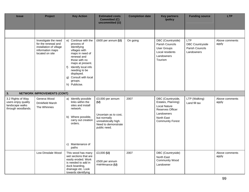| <b>Issue</b>                                                                      | Project                                                                                                       | <b>Key Action</b>                                                                                                                                                                                                                                             | <b>Estimated costs</b><br><b>Committed (C)</b><br>uncommitted (U)                                                                | <b>Completion date</b> | <b>Key partners</b><br>/policy                                                                                                            | <b>Funding source</b>                                          | <b>LTP</b>              |
|-----------------------------------------------------------------------------------|---------------------------------------------------------------------------------------------------------------|---------------------------------------------------------------------------------------------------------------------------------------------------------------------------------------------------------------------------------------------------------------|----------------------------------------------------------------------------------------------------------------------------------|------------------------|-------------------------------------------------------------------------------------------------------------------------------------------|----------------------------------------------------------------|-------------------------|
|                                                                                   |                                                                                                               |                                                                                                                                                                                                                                                               |                                                                                                                                  |                        |                                                                                                                                           |                                                                |                         |
|                                                                                   | Investigate the need<br>for the renewal and<br>installation of village<br>information maps<br>located on site | e) Continue with the<br>process of<br>Identifying<br>villages with<br>maps in need of<br>renewal and<br>those with no<br>maps at present.<br>Identify local info<br>f)<br>needing to be<br>displayed.<br>Consult with local<br>g)<br>groups.<br>h) Publicise. | £600 per annum $(U)$                                                                                                             | On going               | DBC (Countryside)<br>Parish Councils<br><b>User Groups</b><br>Local residents<br>Landowners<br>Tourism                                    | <b>LTP</b><br>DBC Countryside<br>Parish Councils<br>Landowners | Above comments<br>apply |
| 3.                                                                                | <b>NETWORK IMPROVEMENTS (CONT)</b>                                                                            |                                                                                                                                                                                                                                                               |                                                                                                                                  |                        |                                                                                                                                           |                                                                |                         |
| 3.2 Rights of Way<br>users enjoy quality<br>landscape walks<br>through woodlands. | Geneva Wood<br>Drinkfield Marsh<br>The Whinnies                                                               | a) Identify possible<br>links within the<br>sites and install<br>network.<br>b) Where possible,<br>carry out creation<br>orders.<br>c) Maintenance of<br>paths                                                                                                | £3,000 per annum<br>(U)<br>Uncertain as to cost,<br>but normally<br>unrealistically high.<br>Need to demonstrate<br>public need. | 2007                   | DBC (Countryside,<br>Estates, Planning)<br><b>Local Nature</b><br>Reserves Officer<br>Landowners<br>North East<br><b>Community Forest</b> | LTP (Walking)<br>Land fill tax                                 | Above comments<br>apply |
|                                                                                   | Low Dinsdale Wood                                                                                             | This wood has many<br>wet sections that are<br>easily eroded. Work<br>is needed to add in<br>duck boarding,<br>drainage etc. Look<br>towards identifying                                                                                                      | £3,000 $(U)$<br>£500 per annum<br>maintenance (U)                                                                                | 2007                   | DBC (Countryside)<br>North East<br><b>Community Wood</b><br>Landowner                                                                     |                                                                | Above comments<br>apply |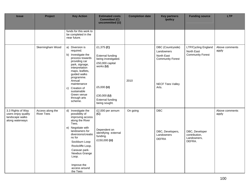| <b>Issue</b>                                                                   | Project                               | <b>Key Action</b>                                                                                                                                                                                                                                                                       | <b>Estimated costs</b><br><b>Committed (C)</b><br>uncommitted (U)                                                                                                     | <b>Completion date</b> | <b>Key partners</b><br>/policy                                                                               | <b>Funding source</b>                                        | <b>LTP</b>              |
|--------------------------------------------------------------------------------|---------------------------------------|-----------------------------------------------------------------------------------------------------------------------------------------------------------------------------------------------------------------------------------------------------------------------------------------|-----------------------------------------------------------------------------------------------------------------------------------------------------------------------|------------------------|--------------------------------------------------------------------------------------------------------------|--------------------------------------------------------------|-------------------------|
|                                                                                |                                       | funds for this work to<br>be completed in the<br>near future.                                                                                                                                                                                                                           |                                                                                                                                                                       |                        |                                                                                                              |                                                              |                         |
|                                                                                | Skerningham Wood                      | a) Diversion is<br>required.<br>b) Investigate the<br>process towards<br>providing car<br>park, signage,<br>interpretation<br>maps, leaflets,<br>guided walks<br>programme.<br>Annual<br>maintenance<br>Creation of<br>C)<br>sustainable<br>Green venue<br>through arts<br>scheme.      | £1,375 (C)<br><b>External funding</b><br>being investigated.<br>£50,000 capital<br>works (U)<br>£5,000 (U)<br>£30,000 (U)<br><b>External funding</b><br>being sought. | 2010                   | DBC (Countryside)<br>Landowners<br>North East<br><b>Community Forest</b><br><b>NECF Tees Valley</b><br>Arts. | LTP/Cycling England<br>North East<br><b>Community Forest</b> | Above comments<br>apply |
| 3.3 Rights of Way<br>users enjoy quality<br>landscape walks<br>along waterways | Access along the<br><b>River Tees</b> | d) Investigate the<br>possibility of<br>improving access<br>along the River<br>Tees.<br>e) Negotiate with<br>landowners for<br>diversions/creatio<br>ns for<br>Sockburn Loop<br>Rockcliffe Loop.<br>Caravan park-<br>Newbus Grange<br>Loop.<br>Improve the<br>access around<br>the Tees | £2,000 per annum<br>(C)<br>Dependent on<br>identifying external<br>funding.<br>£150,000 (U)                                                                           | On going               | <b>DBC</b><br>DBC, Developers,<br>Landowners<br><b>DEFRA</b>                                                 | DBC, Developer<br>contribution,<br>Landowners,<br>DEFRA.     | Above comments<br>apply |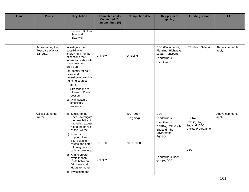| <b>Issue</b> | Project                                           | <b>Key Action</b>                                                                                                                                                                                                                                                                                                                                         | <b>Estimated costs</b><br><b>Committed (C)</b><br>uncommitted (U) | <b>Completion date</b>               | <b>Key partners</b><br>/policy                                                                                                             | <b>Funding source</b>                                                | <b>LTP</b>              |
|--------------|---------------------------------------------------|-----------------------------------------------------------------------------------------------------------------------------------------------------------------------------------------------------------------------------------------------------------------------------------------------------------------------------------------------------------|-------------------------------------------------------------------|--------------------------------------|--------------------------------------------------------------------------------------------------------------------------------------------|----------------------------------------------------------------------|-------------------------|
|              |                                                   | between Broken<br>Scar and<br>Blackwell                                                                                                                                                                                                                                                                                                                   |                                                                   |                                      |                                                                                                                                            |                                                                      |                         |
|              | Access along the<br>Teesdale Way (an<br>E2 route) | Investigate the<br>possibility for<br>improving a number<br>of sections that<br>follow roadsides with<br>no pedestrian<br>provision<br>a) Identify "at risk"<br>sites and<br>investigate possible<br>funding sources -<br>eg, at<br>Stressholme to<br>Hurworth Place<br>section.<br>b) Plan suitable<br>crossings/<br>walkways.                           | Unknown                                                           | On going                             | DBC (Countryside,<br>Planning, Highways,<br>Legal, Transport)<br>Landowners<br>User Groups                                                 | LTP (Road Safety)                                                    | Above comments<br>apply |
|              | Access along the<br>Skerne                        | Similar to the<br>a)<br>Tees, investigate<br>the possibility of<br>improving access<br>along the banks<br>of the Skerne.<br>b) Look for<br>opportunities to<br>plan suitable<br>routes and enter<br>into negotiations<br>with landowners.<br>c) Aim to create<br>cycle friendly<br>route between<br>Mill Lane and<br>Houghton road.<br>d) Investigate the | £90,000<br>Unknown                                                | 2007-2017<br>(On going)<br>2007-2008 | <b>DBC</b><br>Landowners<br>User Groups<br>DEFRA, LTP, Cycle<br>England, The<br>Environment<br>Agency.<br>Landowners, user<br>groups, DBC. | DEFRA,<br>LTP, Cycling<br>England, DBC<br>Capital Programme,<br>DBC. | Above comments<br>apply |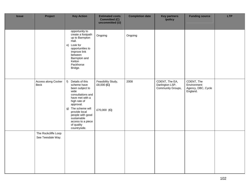| <b>Issue</b> | Project                                  | <b>Key Action</b>                                                                                                                                                                                                                                                    | <b>Estimated costs</b><br><b>Committed (C)</b><br>uncommitted (U) | <b>Completion date</b> | <b>Key partners</b><br>/policy                         | <b>Funding source</b>                                       | <b>LTP</b> |
|--------------|------------------------------------------|----------------------------------------------------------------------------------------------------------------------------------------------------------------------------------------------------------------------------------------------------------------------|-------------------------------------------------------------------|------------------------|--------------------------------------------------------|-------------------------------------------------------------|------------|
|              |                                          | opportunity to<br>create a footpath<br>up to Barmpton<br>Hall.<br>e) Look for<br>opportunities to<br>Improve link<br>between<br>Barmpton and<br>Ketton<br>Packhorse<br>Bridge.                                                                                       | Ongoing                                                           | Ongoing                |                                                        |                                                             |            |
|              | Access along Cocker<br>Beck              | $f$ )<br>Details of this<br>scheme have<br>been subject to<br>wide<br>consultations and<br>have met with a<br>high rate of<br>approval.<br>g) The scheme will<br>provide local<br>people with good<br>sustainable<br>access to a piece<br>of quality<br>countryside. | Feasibility Study,<br>£8,000 $(C)$<br>£70,000 (C)                 | 2008                   | CDENT, The EA,<br>Darlington LSP,<br>Community Groups, | CDENT, The<br>Environment<br>Agency, DBC, Cycle<br>England. |            |
|              | The Rockcliffe Loop<br>See Teesdale Way. |                                                                                                                                                                                                                                                                      |                                                                   |                        |                                                        |                                                             |            |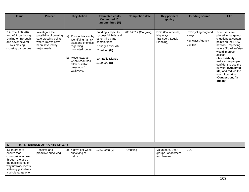| <b>Issue</b>                                                                                                                                                           | Project                                                                                                                  | <b>Key Action</b>                                                                                                                                                                             | <b>Estimated costs</b><br><b>Committed (C)</b><br>uncommitted (U)                                                                                              | <b>Completion date</b> | <b>Key partners</b><br>/policy                                   | <b>Funding source</b>                                                               | <b>LTP</b>                                                                                                                                                                                                                                                                                                                       |
|------------------------------------------------------------------------------------------------------------------------------------------------------------------------|--------------------------------------------------------------------------------------------------------------------------|-----------------------------------------------------------------------------------------------------------------------------------------------------------------------------------------------|----------------------------------------------------------------------------------------------------------------------------------------------------------------|------------------------|------------------------------------------------------------------|-------------------------------------------------------------------------------------|----------------------------------------------------------------------------------------------------------------------------------------------------------------------------------------------------------------------------------------------------------------------------------------------------------------------------------|
| 3.4 The A66, A67<br>and A68 run through<br>Darlington Borough<br>and sever several<br>ROWs making<br>crossing dangerous.                                               | Investigate the<br>possibility of creating<br>safe crossing points<br>where ROWs have<br>been severed by<br>major roads. | Pursue this aim by<br>a)<br>Identifying "at risk"<br>sites and prioritise<br>regarding<br>promoted routes.<br>b) Move towards<br>when resources<br>allow suitable<br>crossings /<br>walkways. | Funding subject to<br>successful bids and<br>other third party<br>contributions.<br>2 bridges over A66<br>£1 million (U)<br>10 Traffic Islands<br>£100,000 (U) | 2007-2017 (On going)   | DBC (Countryside,<br>Highways,<br>Transport, Legal,<br>Planning) | <b>LTP/Cycling England</b><br><b>DETC</b><br><b>Highways Agency</b><br><b>DEFRA</b> | Row users are<br>placed in dangerous<br>situations at certain<br>points on the ROW<br>network. Improving<br>safety (Road safety)<br>would improve<br>access<br>(Accessibility),<br>make more people<br>confident to use the<br>network (Quality of<br>life) and reduce the<br>nos. of car trips<br>(Congestion, Air<br>quality). |
| 4.                                                                                                                                                                     | <b>MAINTENANCE OF RIGHTS OF WAY</b>                                                                                      |                                                                                                                                                                                               |                                                                                                                                                                |                        |                                                                  |                                                                                     |                                                                                                                                                                                                                                                                                                                                  |
| 4.1 In order to<br>ensure that<br>countryside access<br>through the use of<br>the public rights of<br>way network meets<br>statutory guidelines<br>a whole range of on | Reactive and<br>proactive surveying                                                                                      | a) 4 days per week<br>surveying of<br>paths.                                                                                                                                                  | £25,000pa (C)                                                                                                                                                  | Ongoing                | Volunteers, User<br>groups, landowners<br>and farmers.           | <b>DBC</b>                                                                          |                                                                                                                                                                                                                                                                                                                                  |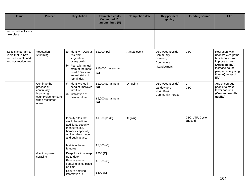| <b>Issue</b>                                                                              | Project                                                                                                     | <b>Key Action</b>                                                                                                                                                       | <b>Estimated costs</b><br><b>Committed (C)</b><br>uncommitted (U) | <b>Completion date</b> | <b>Key partners</b><br>/policy                                             | <b>Funding source</b>      | <b>LTP</b>                                                                                                                                                             |
|-------------------------------------------------------------------------------------------|-------------------------------------------------------------------------------------------------------------|-------------------------------------------------------------------------------------------------------------------------------------------------------------------------|-------------------------------------------------------------------|------------------------|----------------------------------------------------------------------------|----------------------------|------------------------------------------------------------------------------------------------------------------------------------------------------------------------|
| and off site activities<br>take place.                                                    |                                                                                                             |                                                                                                                                                                         |                                                                   |                        |                                                                            |                            |                                                                                                                                                                        |
| 4.3 It is important to<br>users that ROWs<br>are well maintained<br>and obstruction free. | Vegetation<br>strimming                                                                                     | a) Identify ROWs at<br>risk from<br>vegetation<br>overgrowth.<br>b) Plan a bi-annual<br>strim of the most<br>used ROWs and<br>annual strim of<br>remainder.             | £1,000 $(C)$<br>£15,000 per annum<br>(C)                          | Annual event           | DBC (Countryside,<br>Community<br>Services)<br>Contractors<br>- Landowners | <b>DBC</b>                 | Row users want<br>unobstructed paths.<br>Maintenance will<br>improve access<br>(Accessibility),<br>increase no. of<br>people out enjoying<br>them (Quality of<br>life) |
|                                                                                           | Continue the<br>process of<br>continually<br>Improving<br>countryside furniture<br>when resources<br>allow. | Identify sites in<br>$\mathbf{C}$<br>need of improved<br>furniture<br>d) Installation of<br>new furniture                                                               | £1,000 per annum<br>(C)<br>£5,000 per annum<br>(C)                | On going               | DBC (Countryside)<br>Landowners<br>North East<br><b>Community Forest</b>   | <b>LTP</b><br><b>DBC</b>   | And encourage<br>people to make<br>fewer car trips<br>(Congestion, Air<br>quality)                                                                                     |
|                                                                                           |                                                                                                             | Identify sites that<br>would benefit from<br>additional security<br>measures e.g.<br>barriers, especially<br>on the urban fringe<br>and put in place.<br>Maintain these | £1,500 pa $(C)$<br>£2,500 $(C)$                                   | Ongoing                |                                                                            | DBC, LTP, Cycle<br>England |                                                                                                                                                                        |
|                                                                                           | Giant hog weed<br>spraying                                                                                  | features<br>Keep locations map<br>up to date<br>Ensure annual<br>spraying takes place<br>on time<br>Ensure detailed<br>information is                                   | $£200$ (C)<br>£2,500 $(C)$<br>£500 (C)                            |                        |                                                                            |                            |                                                                                                                                                                        |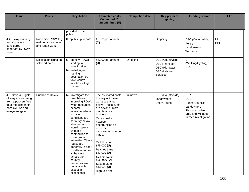| <b>Issue</b>                                                                                                                    | Project                                                     | <b>Key Action</b>                                                                                                                                                                                                                                                                                                                                                                                                        | <b>Estimated costs</b><br><b>Committed (C)</b><br>uncommitted (U)                                                                                                                                                                                                                                                                                                        | <b>Completion date</b> | <b>Key partners</b><br>/policy                                                      | <b>Funding source</b>                                                                                                          | <b>LTP</b>               |
|---------------------------------------------------------------------------------------------------------------------------------|-------------------------------------------------------------|--------------------------------------------------------------------------------------------------------------------------------------------------------------------------------------------------------------------------------------------------------------------------------------------------------------------------------------------------------------------------------------------------------------------------|--------------------------------------------------------------------------------------------------------------------------------------------------------------------------------------------------------------------------------------------------------------------------------------------------------------------------------------------------------------------------|------------------------|-------------------------------------------------------------------------------------|--------------------------------------------------------------------------------------------------------------------------------|--------------------------|
|                                                                                                                                 |                                                             | provided to the<br>public                                                                                                                                                                                                                                                                                                                                                                                                |                                                                                                                                                                                                                                                                                                                                                                          |                        |                                                                                     |                                                                                                                                |                          |
| 4.4 Way marking<br>and signage is<br>considered<br>important by ROW<br>users.                                                   | Road side ROW flag<br>maintenance survey<br>and repair work | Keep this up to date                                                                                                                                                                                                                                                                                                                                                                                                     | £3,000 per annum<br>(C)                                                                                                                                                                                                                                                                                                                                                  |                        | On going                                                                            | DBC (Countryside)<br>Police<br>Landowners<br>Wardens                                                                           | <b>LTP</b><br><b>DBC</b> |
|                                                                                                                                 | Destination signs on<br>selected paths                      | a) Identify ROWs<br>leading to<br>specific sites.<br>b) Install signs<br>naming<br>destination eg<br>town centre,<br>facilities, village<br>names                                                                                                                                                                                                                                                                        | £5,000 per annum<br>(U)                                                                                                                                                                                                                                                                                                                                                  | On going               | DBC (Countryside)<br>DBC (Transport)<br>DBC (Highways)<br>DBC (Leisure<br>Services) | <b>LTP</b><br>(Walking/Cycling)<br><b>DBC</b>                                                                                  |                          |
| 4.5 Several Rights<br>of Way are suffering<br>from a poor surface<br>thus reducing their<br>possible use and<br>enjoyment gain. | Surface of RoWs                                             | b) Investigate the<br>possibilities of<br>improving ROWs<br>when resources<br>become<br>available, where<br>surface<br>conditions are<br>seriously below<br>standard and<br>would make a<br>valuable<br>contribution to<br>countryside<br>amenities. These<br>routes are<br>generally in poor<br>condition and as<br>is the case<br>across the<br>country,<br>resources are<br>not available<br>except in<br>exceptional | The estimated costs<br>to carry out these<br>works are listed<br>below. These sums<br>are beyond ROW<br>maintenance<br>budgets.<br>Occasionally<br>however,<br>opportunities do<br>arise for<br>improvements to be<br>made.<br>Catkill Lane<br>£75,000 (U)<br>Patches Lane<br>£43,000 (U)<br>Sunken Lane<br>£25,000 $(U)$<br>Salters Lane<br>£43,000 (U)<br>High use and | unknown                | DBC (Countryside)<br>Landowners<br><b>User Groups</b>                               | <b>LTP</b><br><b>DBC</b><br>Parish Councils<br>Landowners<br>This is a problem<br>area and will need<br>further investigation. |                          |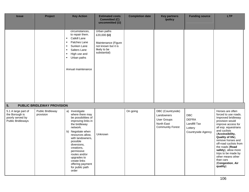| <b>Issue</b>                                                                          | Project                       | <b>Key Action</b>                                                                                                                                                                                                                                                                                                               | <b>Estimated costs</b><br><b>Committed (C)</b>                                                             | <b>Completion date</b> | <b>Key partners</b><br>/policy                                                                 | <b>Funding source</b>                                                              | <b>LTP</b>                                                                                                                                                                                                                                                                                                                                                                |
|---------------------------------------------------------------------------------------|-------------------------------|---------------------------------------------------------------------------------------------------------------------------------------------------------------------------------------------------------------------------------------------------------------------------------------------------------------------------------|------------------------------------------------------------------------------------------------------------|------------------------|------------------------------------------------------------------------------------------------|------------------------------------------------------------------------------------|---------------------------------------------------------------------------------------------------------------------------------------------------------------------------------------------------------------------------------------------------------------------------------------------------------------------------------------------------------------------------|
|                                                                                       |                               |                                                                                                                                                                                                                                                                                                                                 | uncommitted (U)                                                                                            |                        |                                                                                                |                                                                                    |                                                                                                                                                                                                                                                                                                                                                                           |
|                                                                                       |                               | circumstances,<br>to repair them.<br>Catkill Lane<br>$\blacksquare$<br>Patches Lane<br>$\blacksquare$<br>Sunken Lane<br>$\blacksquare$<br>Salters Lane<br>$\blacksquare$<br>High use and<br>$\blacksquare$<br>Urban paths<br>$\blacksquare$<br>Annual maintenance                                                               | Urban paths<br>£20,000 $(U)$<br>Maintenance (Figure<br>not known but it is<br>likely to be<br>substantial) |                        |                                                                                                |                                                                                    |                                                                                                                                                                                                                                                                                                                                                                           |
| 5.                                                                                    | PUBLIC BRIDLEWAY PROVISION    |                                                                                                                                                                                                                                                                                                                                 |                                                                                                            |                        |                                                                                                |                                                                                    |                                                                                                                                                                                                                                                                                                                                                                           |
| 5.1 A large part of<br>the Borough is<br>poorly served by<br><b>Public Bridleways</b> | Public Bridleway<br>provision | a) Investigate<br>where there may<br>be possibilities of<br>improving links in<br>the bridleway<br>network.<br>b) Negotiate when<br>resources allow,<br>with landowners,<br>possible<br>diversions,<br>creations,<br>permissive<br>routes and/or<br>upgrades to<br>create links<br>offering payment<br>for public path<br>order | Unknown                                                                                                    | On going               | DBC (Countryside)<br>Landowners<br><b>User Groups</b><br>North East<br><b>Community Forest</b> | <b>DBC</b><br><b>DEFRA</b><br><b>Landfill Tax</b><br>Lottery<br>Countryside Agency | Horses are often<br>forced to use roads.<br>Improved bridleway<br>provision would<br>improve access for<br>all esp. equestrians<br>and cyclists<br>(Accessibility,<br>Quality of life),<br>remove horses and<br>off-road cyclists from<br>the roads (Road<br>safety), allow more<br>trips to be made by<br>other means other<br>than cars<br>(Congestion, Air<br>quality) |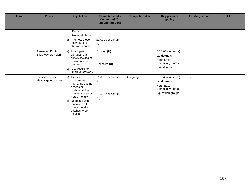| <b>Issue</b> | Project                                        | <b>Key Action</b>                                                                                                                                                                                              | <b>Estimated costs</b><br><b>Committed (C)</b><br>uncommitted (U) | <b>Completion date</b> | <b>Key partners</b><br>/policy                                                                 | <b>Funding source</b> | <b>LTP</b> |
|--------------|------------------------------------------------|----------------------------------------------------------------------------------------------------------------------------------------------------------------------------------------------------------------|-------------------------------------------------------------------|------------------------|------------------------------------------------------------------------------------------------|-----------------------|------------|
|              |                                                | <b>Brafferton</b><br>$\blacksquare$<br>Hurworth Moor<br>$\blacksquare$<br>Promote these<br>C)<br>new routes to<br>the wider public                                                                             | £1,000 per annum<br>(U)                                           |                        |                                                                                                |                       |            |
|              | Assessing Public<br><b>Bridleway provision</b> | a) Investigate<br>conducting a<br>survey looking at<br>equine use and<br>demand<br>b) Use results to<br>improve network.                                                                                       | Existing (U)<br>Unknown (U)                                       |                        | DBC (Countryside)<br>Landowners<br>North East<br><b>Community Forest</b><br><b>User Groups</b> |                       |            |
|              | Provision of horse<br>friendly gate catches    | a) Identify a<br>programme<br>improving equine<br>access on<br>bridleways that<br>presently are not<br>horse friendly.<br>b) Negotiate with<br>landowners for<br>horse friendly<br>catches to be<br>installed. | £1,000 per annum<br>(U)<br>£1,500 per annum<br>(U)                | On going               | DBC (Countryside)<br>Landowners<br>North East<br><b>Community Forest</b><br>Equestrian groups  | DBC                   |            |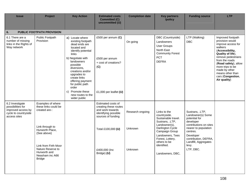| <b>Issue</b>                                                                                       | Project                                                                                       | <b>Key Action</b>                                                                                                                                                                                                                                           | <b>Estimated costs</b><br><b>Committed (C)</b><br>uncommitted (U)                                             | <b>Completion date</b> | <b>Key partners</b><br>/policy                                                                                                | <b>Funding source</b>                                                                                               | <b>LTP</b>                                                                                                                                                                                                                                                                  |  |  |  |  |  |
|----------------------------------------------------------------------------------------------------|-----------------------------------------------------------------------------------------------|-------------------------------------------------------------------------------------------------------------------------------------------------------------------------------------------------------------------------------------------------------------|---------------------------------------------------------------------------------------------------------------|------------------------|-------------------------------------------------------------------------------------------------------------------------------|---------------------------------------------------------------------------------------------------------------------|-----------------------------------------------------------------------------------------------------------------------------------------------------------------------------------------------------------------------------------------------------------------------------|--|--|--|--|--|
| 6.<br>PUBLIC FOOTPATH PROVISION                                                                    |                                                                                               |                                                                                                                                                                                                                                                             |                                                                                                               |                        |                                                                                                                               |                                                                                                                     |                                                                                                                                                                                                                                                                             |  |  |  |  |  |
| 6.1 There are a<br>number of missing<br>links in the Rights of<br>Way network                      | Public Footpath<br>Provision                                                                  | a) Locate where<br>existing footpath<br>dead ends are<br>located and<br>identify potential<br>links<br>b) Negotiate with<br>landowners<br>possible<br>diversions,<br>creations and/or<br>upgrades to<br>create links<br>offering payment<br>for public path | £500 per annum $(C)$<br>£500 per annum<br>+ cost of creations?<br>(C)                                         | On going               | DBC (Countryside)<br>Landowners<br><b>User Groups</b><br>North East<br><b>Community Forest</b><br>PCT<br><b>DEFRA</b>         | LTP (Walking)<br><b>DBC</b>                                                                                         | Improved footpath<br>provision would<br>improve access for<br>walkers<br>(Accessibility,<br>Quality of life),<br>remove pedestrians<br>from the roads<br>(Road safety), allow<br>more trips to be<br>made by other<br>means other than<br>cars (Congestion,<br>Air quality) |  |  |  |  |  |
|                                                                                                    |                                                                                               | order<br>Promote these<br>C)<br>new routes to the<br>wider public                                                                                                                                                                                           | £1,000 per leaflet $(U)$                                                                                      |                        |                                                                                                                               |                                                                                                                     |                                                                                                                                                                                                                                                                             |  |  |  |  |  |
| 6.2 Investigate<br>possibilities for<br>improved access by<br>cycle to countryside<br>access sites | Examples of where<br>these links could be<br>created are-:                                    |                                                                                                                                                                                                                                                             | Estimated costs of<br>creating these routes<br>and work towards<br>identifying possible<br>sources of funding | Research ongoing       | Links to the<br>countryside.<br>Sustainable travel.<br>Sustrans, .LTP,<br>Landowner(s),                                       | Sustrans, .LTP,<br>Landowner(s) Some<br>potential for<br>developer<br>contributions on sites                        |                                                                                                                                                                                                                                                                             |  |  |  |  |  |
|                                                                                                    | Link through to<br>Hurworth Place,<br>(See above)                                             |                                                                                                                                                                                                                                                             | Total £100,000 (U)                                                                                            | Unknown<br>Unknown     | Darlington Cycle<br>Campaign Group<br>Landowners, Tees<br>Forest, Lottery,<br>others to be<br>identified.<br>Landowners, DBC, | nearer to population<br>centres.<br>Developer<br>contribution, DEFRA,<br>Landfill, Aggregates<br>levy.<br>LTP, DBC. |                                                                                                                                                                                                                                                                             |  |  |  |  |  |
|                                                                                                    | Link from Firth Moor<br>Nature Reserve to<br>Hurworth and<br>Neasham inc A66<br><b>Bridge</b> |                                                                                                                                                                                                                                                             | £400,000 (Inc<br>Bridge) (U)                                                                                  |                        |                                                                                                                               |                                                                                                                     |                                                                                                                                                                                                                                                                             |  |  |  |  |  |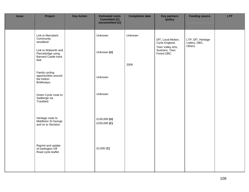| <b>Issue</b> | Project                                                                                                          | <b>Key Action</b> | <b>Estimated costs</b><br><b>Committed (C)</b><br>uncommitted (U) | <b>Completion date</b> | <b>Key partners</b><br>/policy                                                             | <b>Funding source</b>                          | <b>LTP</b> |
|--------------|------------------------------------------------------------------------------------------------------------------|-------------------|-------------------------------------------------------------------|------------------------|--------------------------------------------------------------------------------------------|------------------------------------------------|------------|
|              | Link to Merrybent<br>Community<br>woodland<br>Link to Walworth and<br>Piercebridge using<br>Barnard Castle track |                   | Unknown<br>Unknown (U)                                            | Unknown                | DfT, Local Motion,<br>Cycle England,<br>Tees Valley Arts,<br>Sustrans, Tees<br>Forest DBC. | LTP, DfT, Heritage<br>Lottery, DBC,<br>Others. |            |
|              | bed.                                                                                                             |                   |                                                                   | 2009                   |                                                                                            |                                                |            |
|              | Family cycling<br>opportunities around<br>the Ketton<br>Bridleways.                                              |                   | Unknown                                                           |                        |                                                                                            |                                                |            |
|              | Green Cycle route to<br>Sadberge via<br>Trackbed.                                                                |                   | Unknown                                                           |                        |                                                                                            |                                                |            |
|              | Heritage route to<br>Middleton St George<br>and on to Stockton                                                   |                   | £150,000 (U)<br>£250,000 (C)                                      |                        |                                                                                            |                                                |            |
|              | Reprint and update<br>of Darlington Off<br>Road cycle leaflet.                                                   |                   | £2,000 $(C)$                                                      |                        |                                                                                            |                                                |            |
|              |                                                                                                                  |                   |                                                                   |                        |                                                                                            |                                                |            |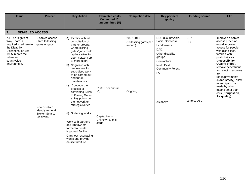| <b>Issue</b>                                                                                                                                                             | Project                                                                                                                      | <b>Key Action</b>                                                                                                                                                                                                                                                                                                                                                                                                                                                                                                                                                                         | <b>Estimated costs</b><br><b>Committed (C)</b><br>uncommitted (U)      | <b>Completion date</b>                                  | <b>Key partners</b><br>/policy                                                                                                                                       | <b>Funding source</b>                     | <b>LTP</b>                                                                                                                                                                                                                                                                                                                                                                   |  |  |
|--------------------------------------------------------------------------------------------------------------------------------------------------------------------------|------------------------------------------------------------------------------------------------------------------------------|-------------------------------------------------------------------------------------------------------------------------------------------------------------------------------------------------------------------------------------------------------------------------------------------------------------------------------------------------------------------------------------------------------------------------------------------------------------------------------------------------------------------------------------------------------------------------------------------|------------------------------------------------------------------------|---------------------------------------------------------|----------------------------------------------------------------------------------------------------------------------------------------------------------------------|-------------------------------------------|------------------------------------------------------------------------------------------------------------------------------------------------------------------------------------------------------------------------------------------------------------------------------------------------------------------------------------------------------------------------------|--|--|
| 7.                                                                                                                                                                       | <b>DISABLED ACCESS</b>                                                                                                       |                                                                                                                                                                                                                                                                                                                                                                                                                                                                                                                                                                                           |                                                                        |                                                         |                                                                                                                                                                      |                                           |                                                                                                                                                                                                                                                                                                                                                                              |  |  |
| 7.1 The Rights of<br>Way Team is<br>required to adhere to<br>the Disability<br><b>Discrimination Act</b><br>1995 in both the<br>urban and<br>countryside<br>environment. | Disabled access -<br>Stiles to kissing<br>gates or gaps<br>New disabled<br>friendly route at<br>Broken Scar to<br>Blackwell. | a) Identify with full<br>consultation of<br>partner groups,<br>where kissing<br>gates/gaps could<br>replace stiles to<br>open network up<br>to more users<br>b) Negotiate with<br>landowners for<br>subsidised work<br>to be carried out<br>and future<br>maintenance<br>Continue the<br>c)<br>process of<br>converting Stiles<br>to Kissing Gates<br>at key points on<br>the network on<br>strategic routes.<br>d) Surfacing works<br>Work with partners<br>and landowner/<br>farmer to create<br>improved facility.<br>Carry out resurfacing<br>works and provide<br>on site furniture. | £1,000 per annum<br>(C)<br>Capital items.<br>Unknown at this<br>stage. | 2007-2011<br>(10 kissing gates per<br>annum)<br>Ongoing | DBC (Countryside,<br>Social Services)<br>Landowners<br>DAD.<br>Other disability<br>groups<br>Contractors<br>North East<br><b>Community Forest</b><br>PCT<br>As above | <b>LTP</b><br><b>DBC</b><br>Lottery, DBC, | Improved disabled<br>access provision<br>would improve<br>access for people<br>with disabilities,<br>families with<br>pushchairs etc<br>(Accessibility,<br>Quality of life),<br>remove pedestrians<br>and electric scooters<br>from<br>roads/pavements<br>(Road safety), allow<br>more trips to be<br>made by other<br>means other than<br>cars (Congestion,<br>Air quality) |  |  |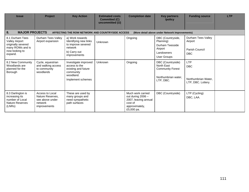| <b>Issue</b>                                                                                                                      | <b>Project</b>                                                                    | <b>Key Action</b>                                                                                           | <b>Estimated costs</b><br><b>Committed (C)</b><br>uncommitted (U) | <b>Completion date</b>                                                                                    | <b>Key partners</b><br>/policy                                                                 | <b>Funding source</b>                                                 | <b>LTP</b> |  |
|-----------------------------------------------------------------------------------------------------------------------------------|-----------------------------------------------------------------------------------|-------------------------------------------------------------------------------------------------------------|-------------------------------------------------------------------|-----------------------------------------------------------------------------------------------------------|------------------------------------------------------------------------------------------------|-----------------------------------------------------------------------|------------|--|
| 8.<br><b>MAJOR PROJECTS</b><br>AFFECTING THE ROW NETWORK AND COUNTRYSIDE ACCESS<br>(More detail above under Network Improvements) |                                                                                   |                                                                                                             |                                                                   |                                                                                                           |                                                                                                |                                                                       |            |  |
| 8.1 Durham Tees<br><b>Valley Airport</b><br>originally severed<br>many ROWs and is<br>now looking to<br>expand.                   | Durham Tees Valley<br>Airport expansion                                           | a) Work towards<br>Identifying new links<br>to improve severed<br>network<br>b) Carry out<br>improvements   | Unknown                                                           | Ongoing                                                                                                   | DBC (Countryside,<br>Planning)<br>Durham Teesside<br>Airport<br>Landowners<br>User Groups      | Durham Tees Valley<br>Airport<br>Parish Council<br><b>DBC</b>         |            |  |
| 8.2 New Community<br>Woodlands are<br>planned for the<br>Borough                                                                  | Cycle, equestrian<br>and walking access<br>to community<br>woodlands              | Investigate improved<br>access to the<br>existing and future<br>community<br>woodland.<br>Implement schemes | Unknown                                                           | Ongoing                                                                                                   | DBC (Countryside)<br>North East<br><b>Community Forest</b><br>Northumbrian water.<br>LTP, DBC. | <b>LTP</b><br><b>DBC</b><br>Northumbrian Water.<br>LTP, DBC. Lottery. |            |  |
| 8.3 Darlington is<br>increasing its<br>number of Local<br><b>Nature Reserves</b><br>(LNRs)                                        | Access to Local<br>Nature Reserves,<br>see above under<br>network<br>improvements | These are used by<br>many groups and<br>need sympathetic<br>path surfaces                                   |                                                                   | Much work carried<br>out during 2006 -<br>2007, leaving annual<br>cost of<br>approximately,<br>£5,000 pa. | DBC (Countryside)                                                                              | LTP (Cycling)<br>DBC, LAA.                                            |            |  |